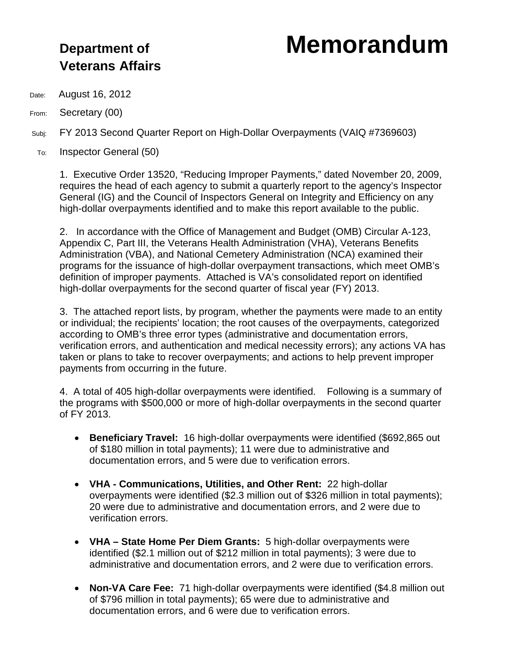# **Veterans Affairs**

## **Department of Memorandum**

Date: August 16, 2012

From: Secretary (00)

Subj: FY 2013 Second Quarter Report on High-Dollar Overpayments (VAIQ #7369603)

To: Inspector General (50)

1. Executive Order 13520, "Reducing Improper Payments," dated November 20, 2009, requires the head of each agency to submit a quarterly report to the agency's Inspector General (IG) and the Council of Inspectors General on Integrity and Efficiency on any high-dollar overpayments identified and to make this report available to the public.

2. In accordance with the Office of Management and Budget (OMB) Circular A-123, Appendix C, Part III, the Veterans Health Administration (VHA), Veterans Benefits Administration (VBA), and National Cemetery Administration (NCA) examined their programs for the issuance of high-dollar overpayment transactions, which meet OMB's definition of improper payments. Attached is VA's consolidated report on identified high-dollar overpayments for the second quarter of fiscal year (FY) 2013.

3. The attached report lists, by program, whether the payments were made to an entity or individual; the recipients' location; the root causes of the overpayments, categorized according to OMB's three error types (administrative and documentation errors, verification errors, and authentication and medical necessity errors); any actions VA has taken or plans to take to recover overpayments; and actions to help prevent improper payments from occurring in the future.

4. A total of 405 high-dollar overpayments were identified. Following is a summary of the programs with \$500,000 or more of high-dollar overpayments in the second quarter of FY 2013.

- **Beneficiary Travel:** 16 high-dollar overpayments were identified (\$692,865 out of \$180 million in total payments); 11 were due to administrative and documentation errors, and 5 were due to verification errors.
- **VHA Communications, Utilities, and Other Rent:** 22 high-dollar overpayments were identified (\$2.3 million out of \$326 million in total payments); 20 were due to administrative and documentation errors, and 2 were due to verification errors.
- **VHA State Home Per Diem Grants:** 5 high-dollar overpayments were identified (\$2.1 million out of \$212 million in total payments); 3 were due to administrative and documentation errors, and 2 were due to verification errors.
- **Non-VA Care Fee:** 71 high-dollar overpayments were identified (\$4.8 million out of \$796 million in total payments); 65 were due to administrative and documentation errors, and 6 were due to verification errors.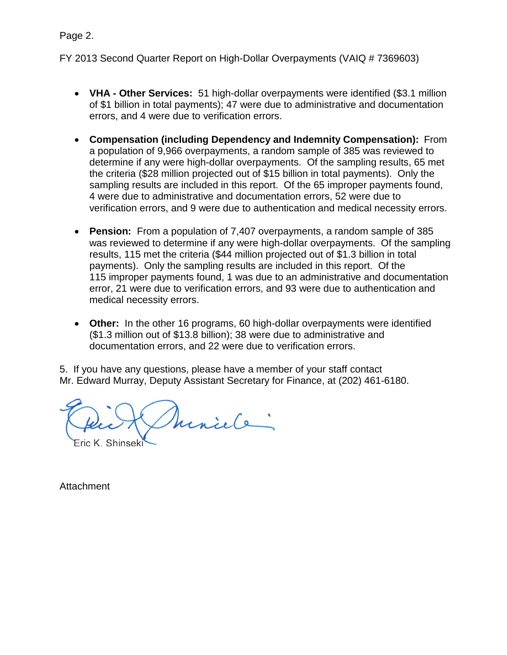FY 2013 Second Quarter Report on High-Dollar Overpayments (VAIQ # 7369603)

- **VHA Other Services:** 51 high-dollar overpayments were identified (\$3.1 million of \$1 billion in total payments); 47 were due to administrative and documentation errors, and 4 were due to verification errors.
- **Compensation (including Dependency and Indemnity Compensation):** From a population of 9,966 overpayments, a random sample of 385 was reviewed to determine if any were high-dollar overpayments. Of the sampling results, 65 met the criteria (\$28 million projected out of \$15 billion in total payments). Only the sampling results are included in this report. Of the 65 improper payments found, 4 were due to administrative and documentation errors, 52 were due to verification errors, and 9 were due to authentication and medical necessity errors.
- **Pension:** From a population of 7,407 overpayments, a random sample of 385 was reviewed to determine if any were high-dollar overpayments. Of the sampling results, 115 met the criteria (\$44 million projected out of \$1.3 billion in total payments). Only the sampling results are included in this report. Of the 115 improper payments found, 1 was due to an administrative and documentation error, 21 were due to verification errors, and 93 were due to authentication and medical necessity errors.
- **Other:** In the other 16 programs, 60 high-dollar overpayments were identified (\$1.3 million out of \$13.8 billion); 38 were due to administrative and documentation errors, and 22 were due to verification errors.

5. If you have any questions, please have a member of your staff contact Mr. Edward Murray, Deputy Assistant Secretary for Finance, at (202) 461-6180.

hiniele: Eric K. Shinseki

**Attachment** 

Page 2.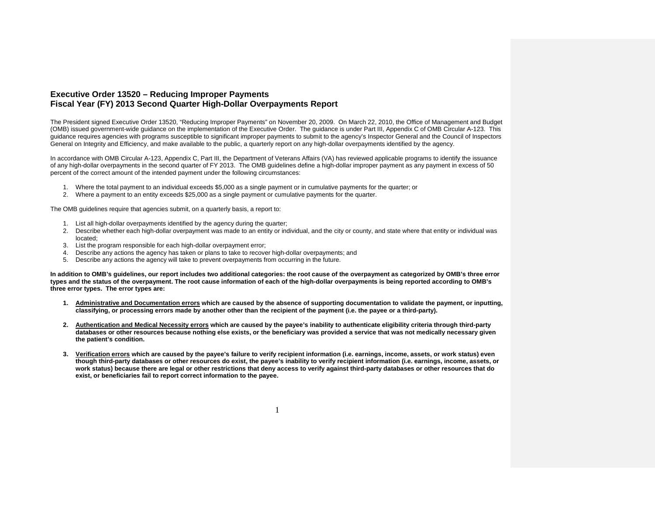## **Executive Order 13520 – Reducing Improper Payments Fiscal Year (FY) 2013 Second Quarter High-Dollar Overpayments Report**

The President signed Executive Order 13520, "Reducing Improper Payments" on November 20, 2009. On March 22, 2010, the Office of Management and Budget (OMB) issued government-wide guidance on the implementation of the Executive Order. The guidance is under Part III, Appendix C of OMB Circular A-123. This guidance requires agencies with programs susceptible to significant improper payments to submit to the agency's Inspector General and the Council of Inspectors General on Integrity and Efficiency, and make available to the public, a quarterly report on any high-dollar overpayments identified by the agency.

In accordance with OMB Circular A-123, Appendix C, Part III, the Department of Veterans Affairs (VA) has reviewed applicable programs to identify the issuance of any high-dollar overpayments in the second quarter of FY 2013. The OMB guidelines define a high-dollar improper payment as any payment in excess of 50 percent of the correct amount of the intended payment under the following circumstances:

- 1. Where the total payment to an individual exceeds \$5,000 as a single payment or in cumulative payments for the quarter; or
- 2. Where a payment to an entity exceeds \$25,000 as a single payment or cumulative payments for the quarter.

The OMB guidelines require that agencies submit, on a quarterly basis, a report to:

- 1. List all high-dollar overpayments identified by the agency during the quarter;
- 2. Describe whether each high-dollar overpayment was made to an entity or individual, and the city or county, and state where that entity or individual was located;
- 3. List the program responsible for each high-dollar overpayment error;
- 4. Describe any actions the agency has taken or plans to take to recover high-dollar overpayments; and
- 5. Describe any actions the agency will take to prevent overpayments from occurring in the future.

**In addition to OMB's guidelines, our report includes two additional categories: the root cause of the overpayment as categorized by OMB's three error types and the status of the overpayment. The root cause information of each of the high-dollar overpayments is being reported according to OMB's three error types. The error types are:**

- **1. Administrative and Documentation errors which are caused by the absence of supporting documentation to validate the payment, or inputting, classifying, or processing errors made by another other than the recipient of the payment (i.e. the payee or a third-party).**
- **2. Authentication and Medical Necessity errors which are caused by the payee's inability to authenticate eligibility criteria through third-party databases or other resources because nothing else exists, or the beneficiary was provided a service that was not medically necessary given the patient's condition.**
- **3. Verification errors which are caused by the payee's failure to verify recipient information (i.e. earnings, income, assets, or work status) even though third-party databases or other resources do exist, the payee's inability to verify recipient information (i.e. earnings, income, assets, or work status) because there are legal or other restrictions that deny access to verify against third-party databases or other resources that do exist, or beneficiaries fail to report correct information to the payee.**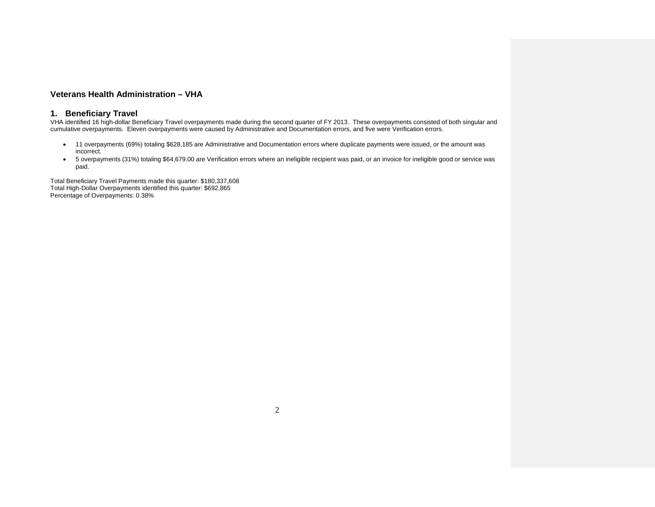## **Veterans Health Administration – VHA**

## **1. Beneficiary Travel**

VHA identified 16 high-dollar Beneficiary Travel overpayments made during the second quarter of FY 2013. These overpayments consisted of both singular and cumulative overpayments. Eleven overpayments were caused by Administrative and Documentation errors, and five were Verification errors.

- 11 overpayments (69%) totaling \$628,185 are Administrative and Documentation errors where duplicate payments were issued, or the amount was incorrect.
- 5 overpayments (31%) totaling \$64,679.00 are Verification errors where an ineligible recipient was paid, or an invoice for ineligible good or service was paid.

Total Beneficiary Travel Payments made this quarter: \$180,337,608 Total High-Dollar Overpayments identified this quarter: \$692,865 Percentage of Overpayments: 0.38%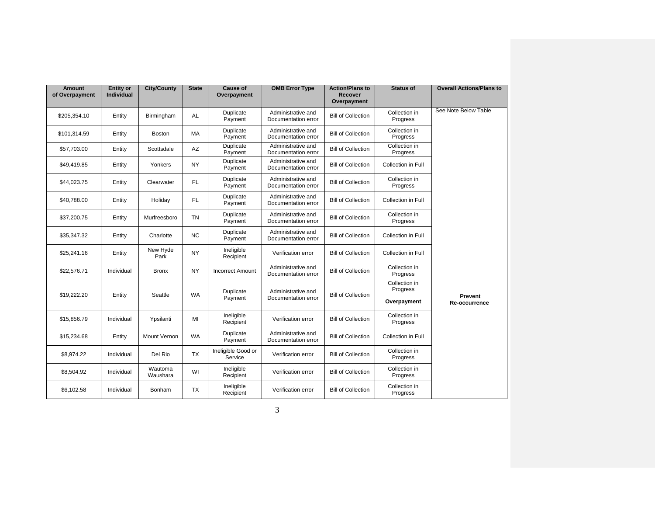| <b>Amount</b><br>of Overpayment | <b>Entity or</b><br>Individual | <b>City/County</b>  | <b>State</b> | Cause of<br>Overpayment       | <b>OMB Error Type</b>                     | <b>Action/Plans to</b><br>Recover<br>Overpayment | <b>Status of</b>          | <b>Overall Actions/Plans to</b> |
|---------------------------------|--------------------------------|---------------------|--------------|-------------------------------|-------------------------------------------|--------------------------------------------------|---------------------------|---------------------------------|
| \$205,354.10                    | Entity                         | Birmingham          | AL           | Duplicate<br>Payment          | Administrative and<br>Documentation error | <b>Bill of Collection</b>                        | Collection in<br>Progress | See Note Below Table            |
| \$101,314.59                    | Entity                         | <b>Boston</b>       | MA           | Duplicate<br>Payment          | Administrative and<br>Documentation error | <b>Bill of Collection</b>                        | Collection in<br>Progress |                                 |
| \$57.703.00                     | Entity                         | Scottsdale          | AZ           | Duplicate<br>Payment          | Administrative and<br>Documentation error | <b>Bill of Collection</b>                        | Collection in<br>Progress |                                 |
| \$49.419.85                     | Entity                         | Yonkers             | <b>NY</b>    | Duplicate<br>Payment          | Administrative and<br>Documentation error | <b>Bill of Collection</b>                        | Collection in Full        |                                 |
| \$44,023.75                     | Entity                         | Clearwater          | FL           | Duplicate<br>Payment          | Administrative and<br>Documentation error | <b>Bill of Collection</b>                        | Collection in<br>Progress |                                 |
| \$40,788.00                     | Entity                         | Holiday             | FL           | Duplicate<br>Payment          | Administrative and<br>Documentation error | <b>Bill of Collection</b>                        | Collection in Full        |                                 |
| \$37,200.75                     | Entity                         | Murfreesboro        | <b>TN</b>    | Duplicate<br>Payment          | Administrative and<br>Documentation error | <b>Bill of Collection</b>                        | Collection in<br>Progress |                                 |
| \$35,347.32                     | Entity                         | Charlotte           | <b>NC</b>    | Duplicate<br>Payment          | Administrative and<br>Documentation error | <b>Bill of Collection</b>                        | Collection in Full        |                                 |
| \$25,241.16                     | Entity                         | New Hyde<br>Park    | <b>NY</b>    | Ineligible<br>Recipient       | Verification error                        | <b>Bill of Collection</b>                        | Collection in Full        |                                 |
| \$22.576.71                     | Individual                     | <b>Bronx</b>        | <b>NY</b>    | <b>Incorrect Amount</b>       | Administrative and<br>Documentation error | <b>Bill of Collection</b>                        | Collection in<br>Progress |                                 |
|                                 |                                |                     |              | Duplicate                     | Administrative and                        |                                                  | Collection in<br>Progress |                                 |
| \$19,222.20                     | Entity                         | Seattle             | <b>WA</b>    | Payment                       | Documentation error                       | <b>Bill of Collection</b>                        | Overpayment               | Prevent<br>Re-occurrence        |
| \$15,856.79                     | Individual                     | Ypsilanti           | MI           | Ineligible<br>Recipient       | Verification error                        | <b>Bill of Collection</b>                        | Collection in<br>Progress |                                 |
| \$15.234.68                     | Entity                         | <b>Mount Vernon</b> | <b>WA</b>    | Duplicate<br>Payment          | Administrative and<br>Documentation error | <b>Bill of Collection</b>                        | Collection in Full        |                                 |
| \$8,974.22                      | Individual                     | Del Rio             | TX           | Ineligible Good or<br>Service | Verification error                        | <b>Bill of Collection</b>                        | Collection in<br>Progress |                                 |
| \$8,504.92                      | Individual                     | Wautoma<br>Waushara | WI           | Ineligible<br>Recipient       | Verification error                        | <b>Bill of Collection</b>                        | Collection in<br>Progress |                                 |
| \$6,102.58                      | Individual                     | Bonham              | <b>TX</b>    | Ineligible<br>Recipient       | Verification error                        | <b>Bill of Collection</b>                        | Collection in<br>Progress |                                 |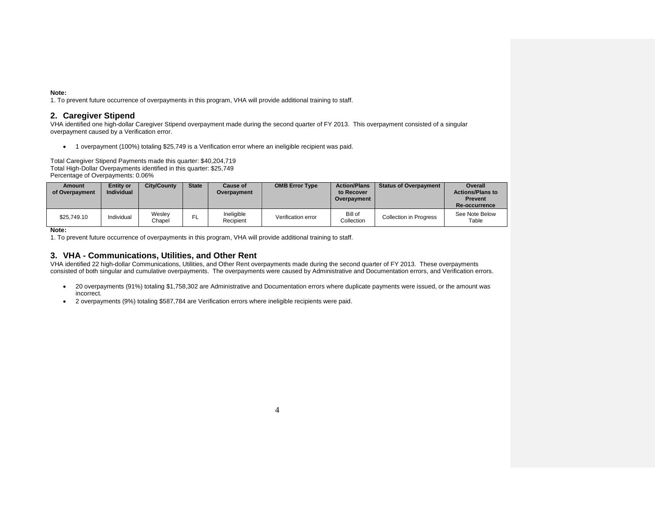1. To prevent future occurrence of overpayments in this program, VHA will provide additional training to staff.

## **2. Caregiver Stipend**

VHA identified one high-dollar Caregiver Stipend overpayment made during the second quarter of FY 2013. This overpayment consisted of a singular overpayment caused by a Verification error.

• 1 overpayment (100%) totaling \$25,749 is a Verification error where an ineligible recipient was paid.

Total Caregiver Stipend Payments made this quarter: \$40,204,719 Total High-Dollar Overpayments identified in this quarter: \$25,749 Percentage of Overpayments: 0.06%

| Amount<br>of Overpayment | <b>Entity or</b><br><b>Individual</b> | <b>City/County</b> | <b>State</b> | Cause of<br>Overpayment | <b>OMB Error Type</b> | <b>Action/Plans</b><br>to Recover<br>Overpayment | <b>Status of Overpayment</b>  | Overall<br><b>Actions/Plans to</b><br><b>Prevent</b><br>Re-occurrence |
|--------------------------|---------------------------------------|--------------------|--------------|-------------------------|-----------------------|--------------------------------------------------|-------------------------------|-----------------------------------------------------------------------|
| \$25,749.10              | Individual                            | Wesley<br>Chapel   | ໋∟           | Ineligible<br>Recipient | Verification error    | Bill of<br>Collection                            | <b>Collection in Progress</b> | See Note Below<br>Table                                               |

**Note:**

1. To prevent future occurrence of overpayments in this program, VHA will provide additional training to staff.

## **3. VHA - Communications, Utilities, and Other Rent**

VHA identified 22 high-dollar Communications, Utilities, and Other Rent overpayments made during the second quarter of FY 2013. These overpayments consisted of both singular and cumulative overpayments. The overpayments were caused by Administrative and Documentation errors, and Verification errors.

- 20 overpayments (91%) totaling \$1,758,302 are Administrative and Documentation errors where duplicate payments were issued, or the amount was incorrect.
- 2 overpayments (9%) totaling \$587,784 are Verification errors where ineligible recipients were paid.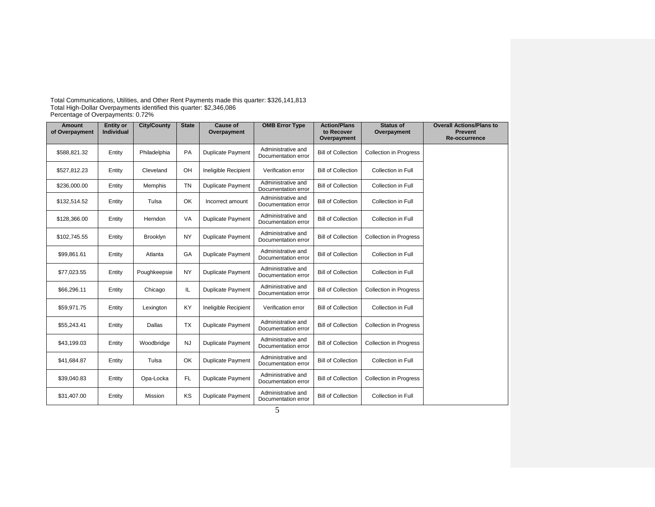| <b>Amount</b><br>of Overpayment | <b>Entity or</b><br><b>Individual</b> | <b>City/County</b> | <b>State</b> | <b>Cause of</b><br>Overpayment | <b>OMB Error Type</b>                     | <b>Action/Plans</b><br>to Recover<br>Overpayment | <b>Status of</b><br>Overpayment | <b>Overall Actions/Plans to</b><br><b>Prevent</b><br>Re-occurrence |
|---------------------------------|---------------------------------------|--------------------|--------------|--------------------------------|-------------------------------------------|--------------------------------------------------|---------------------------------|--------------------------------------------------------------------|
| \$588,821.32                    | Entity                                | Philadelphia       | PA           | <b>Duplicate Payment</b>       | Administrative and<br>Documentation error | <b>Bill of Collection</b>                        | <b>Collection in Progress</b>   |                                                                    |
| \$527,812.23                    | Entity                                | Cleveland          | OH           | Ineligible Recipient           | Verification error                        | <b>Bill of Collection</b>                        | Collection in Full              |                                                                    |
| \$236,000.00                    | Entity                                | Memphis            | TN           | <b>Duplicate Payment</b>       | Administrative and<br>Documentation error | <b>Bill of Collection</b>                        | Collection in Full              |                                                                    |
| \$132,514.52                    | Entity                                | Tulsa              | OK           | Incorrect amount               | Administrative and<br>Documentation error | <b>Bill of Collection</b>                        | Collection in Full              |                                                                    |
| \$128,366.00                    | Entity                                | Herndon            | VA           | <b>Duplicate Payment</b>       | Administrative and<br>Documentation error | <b>Bill of Collection</b>                        | Collection in Full              |                                                                    |
| \$102,745.55                    | Entity                                | <b>Brooklyn</b>    | <b>NY</b>    | <b>Duplicate Payment</b>       | Administrative and<br>Documentation error | <b>Bill of Collection</b>                        | <b>Collection in Progress</b>   |                                                                    |
| \$99,861.61                     | Entity                                | Atlanta            | GA           | <b>Duplicate Payment</b>       | Administrative and<br>Documentation error | <b>Bill of Collection</b>                        | Collection in Full              |                                                                    |
| \$77,023.55                     | Entity                                | Poughkeepsie       | <b>NY</b>    | <b>Duplicate Payment</b>       | Administrative and<br>Documentation error | <b>Bill of Collection</b>                        | Collection in Full              |                                                                    |
| \$66,296.11                     | Entity                                | Chicago            | IL.          | <b>Duplicate Payment</b>       | Administrative and<br>Documentation error | <b>Bill of Collection</b>                        | <b>Collection in Progress</b>   |                                                                    |
| \$59,971.75                     | Entity                                | Lexington          | KY           | Ineligible Recipient           | Verification error                        | <b>Bill of Collection</b>                        | Collection in Full              |                                                                    |
| \$55,243.41                     | Entity                                | Dallas             | <b>TX</b>    | <b>Duplicate Payment</b>       | Administrative and<br>Documentation error | <b>Bill of Collection</b>                        | <b>Collection in Progress</b>   |                                                                    |
| \$43,199.03                     | Entity                                | Woodbridge         | NJ           | <b>Duplicate Payment</b>       | Administrative and<br>Documentation error | <b>Bill of Collection</b>                        | <b>Collection in Progress</b>   |                                                                    |
| \$41,684.87                     | Entity                                | Tulsa              | OK           | <b>Duplicate Payment</b>       | Administrative and<br>Documentation error | <b>Bill of Collection</b>                        | Collection in Full              |                                                                    |
| \$39,040.83                     | Entity                                | Opa-Locka          | <b>FL</b>    | <b>Duplicate Payment</b>       | Administrative and<br>Documentation error | <b>Bill of Collection</b>                        | <b>Collection in Progress</b>   |                                                                    |
| \$31,407.00                     | Entity                                | Mission            | KS           | <b>Duplicate Payment</b>       | Administrative and<br>Documentation error | <b>Bill of Collection</b>                        | Collection in Full              |                                                                    |

#### Total Communications, Utilities, and Other Rent Payments made this quarter: \$326,141,813 Total High-Dollar Overpayments identified this quarter: \$2,346,086 Percentage of Overpayments: 0.72%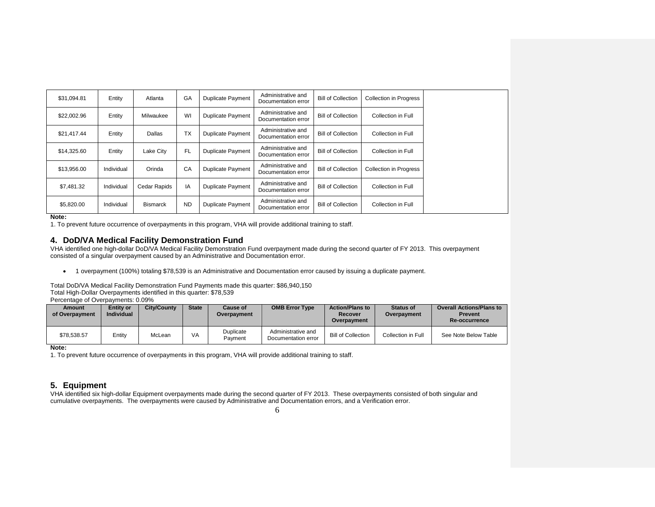| \$31,094.81 | Entity     | Atlanta         | GA        | <b>Duplicate Payment</b> | Administrative and<br>Documentation error | <b>Bill of Collection</b> | <b>Collection in Progress</b> |
|-------------|------------|-----------------|-----------|--------------------------|-------------------------------------------|---------------------------|-------------------------------|
| \$22,002.96 | Entity     | Milwaukee       | WI        | <b>Duplicate Payment</b> | Administrative and<br>Documentation error | <b>Bill of Collection</b> | Collection in Full            |
| \$21,417.44 | Entity     | Dallas          | <b>TX</b> | <b>Duplicate Payment</b> | Administrative and<br>Documentation error | <b>Bill of Collection</b> | Collection in Full            |
| \$14,325.60 | Entity     | Lake City       | <b>FL</b> | <b>Duplicate Payment</b> | Administrative and<br>Documentation error | <b>Bill of Collection</b> | Collection in Full            |
| \$13,956.00 | Individual | Orinda          | CA        | <b>Duplicate Payment</b> | Administrative and<br>Documentation error | <b>Bill of Collection</b> | <b>Collection in Progress</b> |
| \$7,481.32  | Individual | Cedar Rapids    | IA        | <b>Duplicate Payment</b> | Administrative and<br>Documentation error | <b>Bill of Collection</b> | Collection in Full            |
| \$5,820.00  | Individual | <b>Bismarck</b> | <b>ND</b> | <b>Duplicate Payment</b> | Administrative and<br>Documentation error | <b>Bill of Collection</b> | Collection in Full            |

1. To prevent future occurrence of overpayments in this program, VHA will provide additional training to staff.

## **4. DoD/VA Medical Facility Demonstration Fund**

VHA identified one high-dollar DoD/VA Medical Facility Demonstration Fund overpayment made during the second quarter of FY 2013. This overpayment consisted of a singular overpayment caused by an Administrative and Documentation error.

• 1 overpayment (100%) totaling \$78,539 is an Administrative and Documentation error caused by issuing a duplicate payment.

## Total DoD/VA Medical Facility Demonstration Fund Payments made this quarter: \$86,940,150 Total High-Dollar Overpayments identified in this quarter: \$78,539

| Percentage of Overpayments: 0.09% |  |
|-----------------------------------|--|
|-----------------------------------|--|

| Amount<br>of Overpayment | <b>Entity or</b><br><b>Individual</b> | <b>City/County</b> | <b>State</b> | Cause of<br>Overpayment | <b>OMB Error Type</b>                     | <b>Action/Plans to</b><br>Recover<br>Overpayment | <b>Status of</b><br>Overpayment | <b>Overall Actions/Plans to</b><br><b>Prevent</b><br>Re-occurrence |
|--------------------------|---------------------------------------|--------------------|--------------|-------------------------|-------------------------------------------|--------------------------------------------------|---------------------------------|--------------------------------------------------------------------|
| \$78.538.57<br>.         | Entity                                | McLean             | VA           | Duplicate<br>Pavment    | Administrative and<br>Documentation error | <b>Bill of Collection</b>                        | Collection in Full              | See Note Below Table                                               |

#### **Note:**

1. To prevent future occurrence of overpayments in this program, VHA will provide additional training to staff.

## **5. Equipment**

VHA identified six high-dollar Equipment overpayments made during the second quarter of FY 2013. These overpayments consisted of both singular and cumulative overpayments. The overpayments were caused by Administrative and Documentation errors, and a Verification error.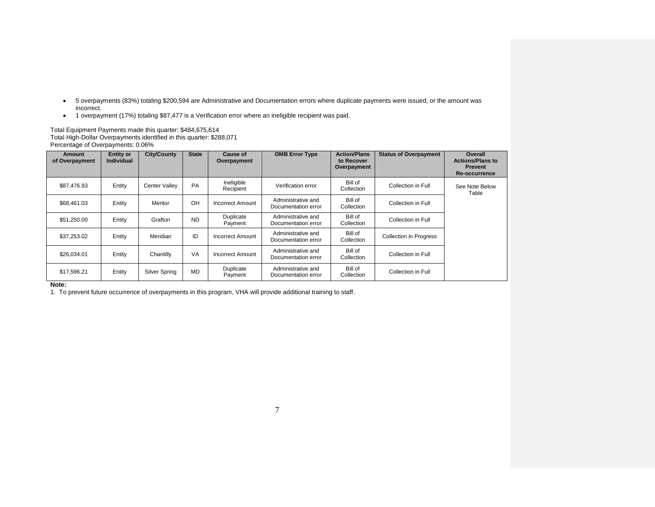- 5 overpayments (83%) totaling \$200,594 are Administrative and Documentation errors where duplicate payments were issued, or the amount was incorrect.
- 1 overpayment (17%) totaling \$87,477 is a Verification error where an ineligible recipient was paid.

Total Equipment Payments made this quarter: \$484,675,614 Total High-Dollar Overpayments identified in this quarter: \$288,071 Percentage of Overpayments: 0.06%

| Amount<br>of Overpayment | <b>Entity or</b><br>Individual | <b>City/County</b>   | <b>State</b> | Cause of<br>Overpayment | <b>OMB Error Type</b>                     | <b>Action/Plans</b><br>to Recover<br>Overpayment | <b>Status of Overpayment</b>  | Overall<br><b>Actions/Plans to</b><br><b>Prevent</b><br>Re-occurrence |
|--------------------------|--------------------------------|----------------------|--------------|-------------------------|-------------------------------------------|--------------------------------------------------|-------------------------------|-----------------------------------------------------------------------|
| \$87,476.93              | Entity                         | <b>Center Valley</b> | <b>PA</b>    | Ineligible<br>Recipient | Verification error                        | Bill of<br>Collection                            | Collection in Full            | See Note Below<br>Table                                               |
| \$68,461.03              | Entity                         | Mentor               | OH           | <b>Incorrect Amount</b> | Administrative and<br>Documentation error | Bill of<br>Collection                            | Collection in Full            |                                                                       |
| \$51,250.00              | Entity                         | Grafton              | <b>ND</b>    | Duplicate<br>Payment    | Administrative and<br>Documentation error | Bill of<br>Collection                            | Collection in Full            |                                                                       |
| \$37,253.02              | Entity                         | Meridian             | ID           | <b>Incorrect Amount</b> | Administrative and<br>Documentation error | Bill of<br>Collection                            | <b>Collection in Progress</b> |                                                                       |
| \$26,034.01              | Entity                         | Chantilly            | <b>VA</b>    | Incorrect Amount        | Administrative and<br>Documentation error | Bill of<br>Collection                            | Collection in Full            |                                                                       |
| \$17,596.21              | Entity                         | Silver Spring        | MD           | Duplicate<br>Payment    | Administrative and<br>Documentation error | Bill of<br>Collection                            | Collection in Full            |                                                                       |

**Note:**

1. To prevent future occurrence of overpayments in this program, VHA will provide additional training to staff.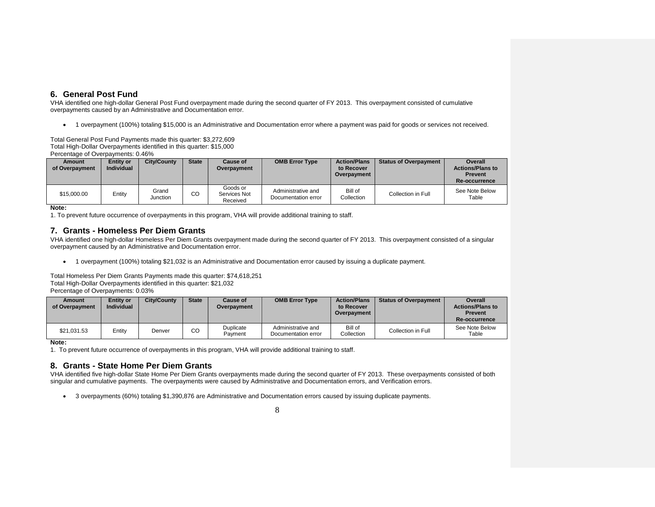## **6. General Post Fund**

VHA identified one high-dollar General Post Fund overpayment made during the second quarter of FY 2013. This overpayment consisted of cumulative overpayments caused by an Administrative and Documentation error.

• 1 overpayment (100%) totaling \$15,000 is an Administrative and Documentation error where a payment was paid for goods or services not received.

Total General Post Fund Payments made this quarter: \$3,272,609 Total High-Dollar Overpayments identified in this quarter: \$15,000 Percentage of Overpayments: 0.46%

| <b>Amount</b><br>of Overpayment | <b>Entity or</b><br><b>Individual</b> | <b>City/County</b> | <b>State</b> | Cause of<br>Overpayment              | <b>OMB Error Type</b>                     | <b>Action/Plans</b><br>to Recover<br>Overpayment | <b>Status of Overpayment</b> | Overall<br><b>Actions/Plans to</b><br><b>Prevent</b><br><b>Re-occurrence</b> |
|---------------------------------|---------------------------------------|--------------------|--------------|--------------------------------------|-------------------------------------------|--------------------------------------------------|------------------------------|------------------------------------------------------------------------------|
| \$15,000.00                     | Entity                                | Grand<br>Junction  | CO           | Goods or<br>Services Not<br>Received | Administrative and<br>Documentation error | Bill of<br>Collection                            | Collection in Full           | See Note Below<br>Table                                                      |

**Note:**

1. To prevent future occurrence of overpayments in this program, VHA will provide additional training to staff.

## **7. Grants - Homeless Per Diem Grants**

VHA identified one high-dollar Homeless Per Diem Grants overpayment made during the second quarter of FY 2013. This overpayment consisted of a singular overpayment caused by an Administrative and Documentation error.

• 1 overpayment (100%) totaling \$21,032 is an Administrative and Documentation error caused by issuing a duplicate payment.

Total Homeless Per Diem Grants Payments made this quarter: \$74,618,251 Total High-Dollar Overpayments identified in this quarter: \$21,032 Percentage of Overpayments: 0.03%

| Amount<br>of Overpayment | <b>Entity or</b><br><b>Individual</b> | <b>City/County</b> | <b>State</b> | Cause of<br>Overpayment | <b>OMB Error Type</b>                     | <b>Action/Plans</b><br>to Recover<br>Overpayment | <b>Status of Overpayment</b> | Overall<br><b>Actions/Plans to</b><br><b>Prevent</b><br><b>Re-occurrence</b> |
|--------------------------|---------------------------------------|--------------------|--------------|-------------------------|-------------------------------------------|--------------------------------------------------|------------------------------|------------------------------------------------------------------------------|
| \$21.031.53              | Entity                                | Denver             | CO           | Duplicate<br>Pavment    | Administrative and<br>Documentation error | Bill of<br>Collection                            | Collection in Full           | See Note Below<br>Table                                                      |

**Note:**

1. To prevent future occurrence of overpayments in this program, VHA will provide additional training to staff.

## **8. Grants - State Home Per Diem Grants**

VHA identified five high-dollar State Home Per Diem Grants overpayments made during the second quarter of FY 2013. These overpayments consisted of both singular and cumulative payments. The overpayments were caused by Administrative and Documentation errors, and Verification errors.

• 3 overpayments (60%) totaling \$1,390,876 are Administrative and Documentation errors caused by issuing duplicate payments.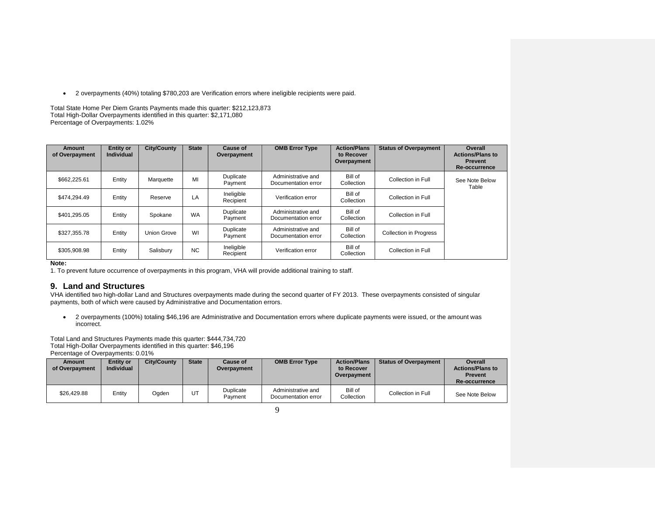• 2 overpayments (40%) totaling \$780,203 are Verification errors where ineligible recipients were paid.

Total State Home Per Diem Grants Payments made this quarter: \$212,123,873 Total High-Dollar Overpayments identified in this quarter: \$2,171,080 Percentage of Overpayments: 1.02%

| Amount<br>of Overpayment | <b>Entity or</b><br><b>Individual</b> | <b>City/County</b> | <b>State</b> | <b>Cause of</b><br>Overpayment | <b>OMB Error Type</b>                     | <b>Action/Plans</b><br>to Recover<br>Overpayment | <b>Status of Overpayment</b>  | Overall<br><b>Actions/Plans to</b><br><b>Prevent</b><br>Re-occurrence |
|--------------------------|---------------------------------------|--------------------|--------------|--------------------------------|-------------------------------------------|--------------------------------------------------|-------------------------------|-----------------------------------------------------------------------|
| \$662,225.61             | Entity                                | Marquette          | MI           | Duplicate<br>Payment           | Administrative and<br>Documentation error | Bill of<br>Collection                            | Collection in Full            | See Note Below<br>Table                                               |
| \$474.294.49             | Entity                                | Reserve            | LA           | Ineligible<br>Recipient        | Verification error                        | Bill of<br>Collection                            | Collection in Full            |                                                                       |
| \$401,295.05             | Entity                                | Spokane            | <b>WA</b>    | Duplicate<br>Payment           | Administrative and<br>Documentation error | Bill of<br>Collection                            | Collection in Full            |                                                                       |
| \$327,355.78             | Entity                                | Union Grove        | WI           | Duplicate<br>Payment           | Administrative and<br>Documentation error | Bill of<br>Collection                            | <b>Collection in Progress</b> |                                                                       |
| \$305.908.98             | Entity                                | Salisbury          | <b>NC</b>    | Ineligible<br>Recipient        | Verification error                        | Bill of<br>Collection                            | Collection in Full            |                                                                       |

**Note:**

1. To prevent future occurrence of overpayments in this program, VHA will provide additional training to staff.

## **9. Land and Structures**

VHA identified two high-dollar Land and Structures overpayments made during the second quarter of FY 2013. These overpayments consisted of singular payments, both of which were caused by Administrative and Documentation errors.

• 2 overpayments (100%) totaling \$46,196 are Administrative and Documentation errors where duplicate payments were issued, or the amount was incorrect.

Total Land and Structures Payments made this quarter: \$444,734,720 Total High-Dollar Overpayments identified in this quarter: \$46,196 Percentage of Overpayments: 0.01%

| Amount<br>of Overpayment | <b>Entity or</b><br><b>Individual</b> | City/County | <b>State</b> | <b>Cause of</b><br>Overpayment | <b>OMB Error Type</b>                     | <b>Action/Plans</b><br>to Recover<br>Overpayment | Status of Overpayment | Overall<br><b>Actions/Plans to</b><br><b>Prevent</b><br>Re-occurrence |
|--------------------------|---------------------------------------|-------------|--------------|--------------------------------|-------------------------------------------|--------------------------------------------------|-----------------------|-----------------------------------------------------------------------|
| \$26,429.88              | Entity                                | Ogden       | UT           | Duplicate<br>Payment           | Administrative and<br>Documentation error | Bill of<br>Collection                            | Collection in Full    | See Note Below                                                        |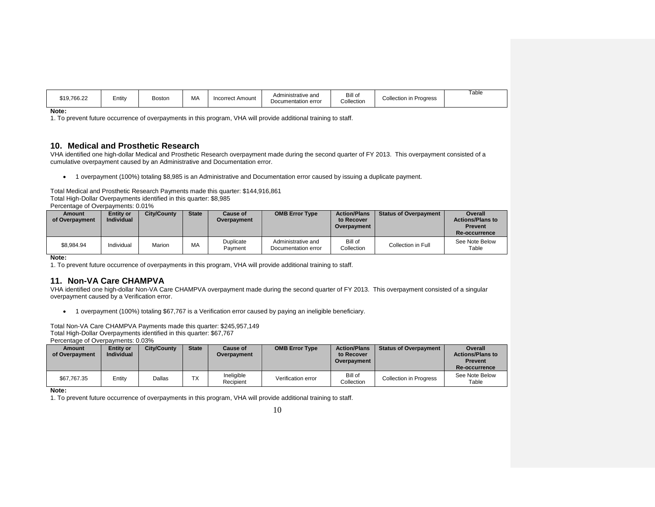| \$19.766.22 | Entity | Boston | MA | Incorrect Amount | Administrative and<br>Documentation error | Bill of<br>Collection | Progress<br>Collection in F | Table<br>. |
|-------------|--------|--------|----|------------------|-------------------------------------------|-----------------------|-----------------------------|------------|
|-------------|--------|--------|----|------------------|-------------------------------------------|-----------------------|-----------------------------|------------|

1. To prevent future occurrence of overpayments in this program, VHA will provide additional training to staff.

## **10. Medical and Prosthetic Research**

VHA identified one high-dollar Medical and Prosthetic Research overpayment made during the second quarter of FY 2013. This overpayment consisted of a cumulative overpayment caused by an Administrative and Documentation error.

• 1 overpayment (100%) totaling \$8,985 is an Administrative and Documentation error caused by issuing a duplicate payment.

Total Medical and Prosthetic Research Payments made this quarter: \$144,916,861 Total High-Dollar Overpayments identified in this quarter: \$8,985

Percentage of Overpayments: 0.01%

| <b>Amount</b><br>of Overpayment | <b>Entity or</b><br><b>Individual</b> | <b>City/County</b> | <b>State</b> | <b>Cause of</b><br>Overpayment | <b>OMB Error Type</b>                     | <b>Action/Plans</b><br>to Recover<br>Overpayment | Status of Overpayment | <b>Overall</b><br><b>Actions/Plans to</b><br><b>Prevent</b><br>Re-occurrence |
|---------------------------------|---------------------------------------|--------------------|--------------|--------------------------------|-------------------------------------------|--------------------------------------------------|-----------------------|------------------------------------------------------------------------------|
| \$8,984.94                      | Individual                            | Marion             | МA           | Duplicate<br>Pavment           | Administrative and<br>Documentation error | Bill of<br>Collection                            | Collection in Full    | See Note Below<br>Table                                                      |

**Note:**

1. To prevent future occurrence of overpayments in this program, VHA will provide additional training to staff.

## **11. Non-VA Care CHAMPVA**

VHA identified one high-dollar Non-VA Care CHAMPVA overpayment made during the second quarter of FY 2013. This overpayment consisted of a singular overpayment caused by a Verification error.

• 1 overpayment (100%) totaling \$67,767 is a Verification error caused by paying an ineligible beneficiary.

Total Non-VA Care CHAMPVA Payments made this quarter: \$245,957,149

Total High-Dollar Overpayments identified in this quarter: \$67,767

Percentage of Overpayments: 0.03%

| Amount<br>of Overpayment | <b>Entity or</b><br><b>Individual</b> | <b>City/County</b> | <b>State</b> | Cause of<br>Overpayment | <b>OMB Error Type</b> | <b>Action/Plans</b><br>to Recover<br>Overpayment | <b>Status of Overpayment</b>  | Overall<br><b>Actions/Plans to</b><br><b>Prevent</b><br>Re-occurrence |
|--------------------------|---------------------------------------|--------------------|--------------|-------------------------|-----------------------|--------------------------------------------------|-------------------------------|-----------------------------------------------------------------------|
| \$67.767.35              | Entity                                | Dallas             | <b>TX</b>    | Ineligible<br>Recipient | Verification error    | Bill of<br>Collection                            | <b>Collection in Progress</b> | See Note Below<br>Table                                               |

**Note:**

1. To prevent future occurrence of overpayments in this program, VHA will provide additional training to staff.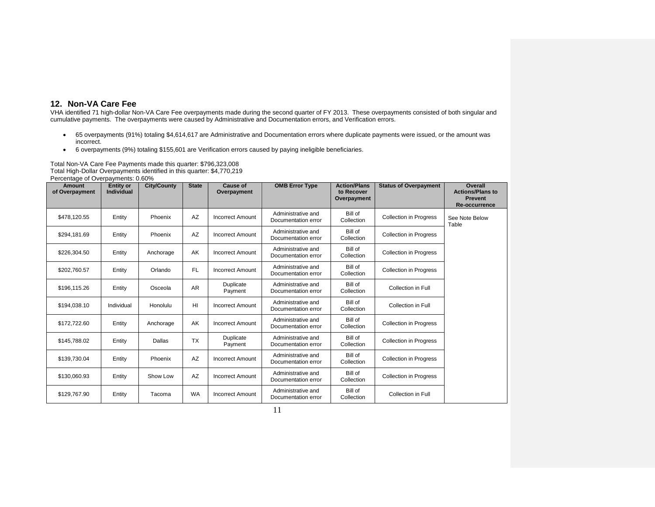## **12. Non-VA Care Fee**

VHA identified 71 high-dollar Non-VA Care Fee overpayments made during the second quarter of FY 2013. These overpayments consisted of both singular and cumulative payments. The overpayments were caused by Administrative and Documentation errors, and Verification errors.

- 65 overpayments (91%) totaling \$4,614,617 are Administrative and Documentation errors where duplicate payments were issued, or the amount was incorrect.
- 6 overpayments (9%) totaling \$155,601 are Verification errors caused by paying ineligible beneficiaries.

Total Non-VA Care Fee Payments made this quarter: \$796,323,008 Total High-Dollar Overpayments identified in this quarter: \$4,770,219 Percentage of Overpayments: 0.60%

| Amount<br>of Overpayment | <b>Entity or</b><br><b>Individual</b> | <b>City/County</b> | <b>State</b>    | <b>Cause of</b><br>Overpayment | <b>OMB Error Type</b>                     | <b>Action/Plans</b><br>to Recover<br>Overpayment | <b>Status of Overpayment</b>  | Overall<br><b>Actions/Plans to</b><br><b>Prevent</b><br><b>Re-occurrence</b> |
|--------------------------|---------------------------------------|--------------------|-----------------|--------------------------------|-------------------------------------------|--------------------------------------------------|-------------------------------|------------------------------------------------------------------------------|
| \$478,120.55             | Entity                                | Phoenix            | AZ              | <b>Incorrect Amount</b>        | Administrative and<br>Documentation error | Bill of<br>Collection                            | <b>Collection in Progress</b> | See Note Below<br>Table                                                      |
| \$294,181.69             | Entity                                | Phoenix            | AZ              | <b>Incorrect Amount</b>        | Administrative and<br>Documentation error | Bill of<br>Collection                            | <b>Collection in Progress</b> |                                                                              |
| \$226,304.50             | Entity                                | Anchorage          | AK              | <b>Incorrect Amount</b>        | Administrative and<br>Documentation error | Bill of<br>Collection                            | <b>Collection in Progress</b> |                                                                              |
| \$202.760.57             | Entity                                | Orlando            | FL              | <b>Incorrect Amount</b>        | Administrative and<br>Documentation error | Bill of<br>Collection                            | <b>Collection in Progress</b> |                                                                              |
| \$196.115.26             | Entity                                | Osceola            | AR.             | Duplicate<br>Payment           | Administrative and<br>Documentation error | Bill of<br>Collection                            | Collection in Full            |                                                                              |
| \$194.038.10             | Individual                            | Honolulu           | H <sub>II</sub> | <b>Incorrect Amount</b>        | Administrative and<br>Documentation error | Bill of<br>Collection                            | Collection in Full            |                                                                              |
| \$172,722.60             | Entity                                | Anchorage          | AK              | <b>Incorrect Amount</b>        | Administrative and<br>Documentation error | Bill of<br>Collection                            | <b>Collection in Progress</b> |                                                                              |
| \$145.788.02             | Entity                                | Dallas             | <b>TX</b>       | Duplicate<br>Payment           | Administrative and<br>Documentation error | Bill of<br>Collection                            | <b>Collection in Progress</b> |                                                                              |
| \$139,730.04             | Entity                                | Phoenix            | AZ              | <b>Incorrect Amount</b>        | Administrative and<br>Documentation error | Bill of<br>Collection                            | <b>Collection in Progress</b> |                                                                              |
| \$130,060.93             | Entity                                | Show Low           | AZ              | <b>Incorrect Amount</b>        | Administrative and<br>Documentation error | Bill of<br>Collection                            | <b>Collection in Progress</b> |                                                                              |
| \$129,767.90             | Entity                                | Tacoma             | <b>WA</b>       | <b>Incorrect Amount</b>        | Administrative and<br>Documentation error | Bill of<br>Collection                            | Collection in Full            |                                                                              |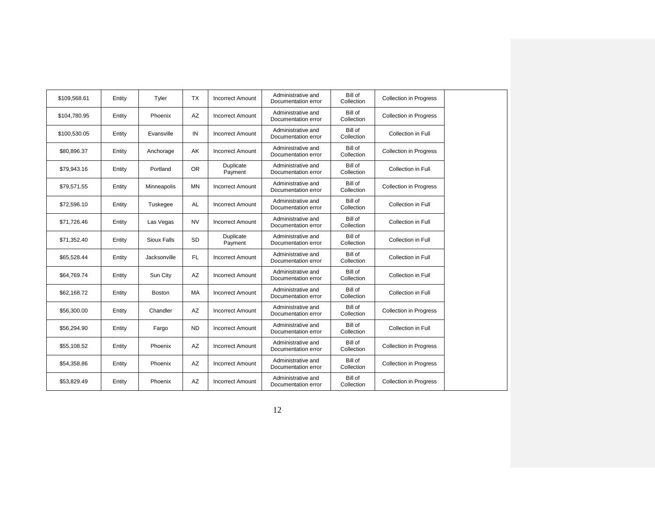| \$109,568.61 | Entity | Tyler              | <b>TX</b> | <b>Incorrect Amount</b> | Administrative and<br>Documentation error | Bill of<br>Collection | <b>Collection in Progress</b> |  |
|--------------|--------|--------------------|-----------|-------------------------|-------------------------------------------|-----------------------|-------------------------------|--|
| \$104,780.95 | Entity | Phoenix            | AZ        | <b>Incorrect Amount</b> | Administrative and<br>Documentation error | Bill of<br>Collection | <b>Collection in Progress</b> |  |
| \$100,530.05 | Entity | Evansville         | IN        | <b>Incorrect Amount</b> | Administrative and<br>Documentation error | Bill of<br>Collection | Collection in Full            |  |
| \$80.896.37  | Entity | Anchorage          | AK        | <b>Incorrect Amount</b> | Administrative and<br>Documentation error | Bill of<br>Collection | <b>Collection in Progress</b> |  |
| \$79,943.16  | Entity | Portland           | <b>OR</b> | Duplicate<br>Payment    | Administrative and<br>Documentation error | Bill of<br>Collection | Collection in Full            |  |
| \$79,571.55  | Entity | Minneapolis        | MN        | <b>Incorrect Amount</b> | Administrative and<br>Documentation error | Bill of<br>Collection | <b>Collection in Progress</b> |  |
| \$72.596.10  | Entity | Tuskegee           | <b>AL</b> | <b>Incorrect Amount</b> | Administrative and<br>Documentation error | Bill of<br>Collection | Collection in Full            |  |
| \$71,726.46  | Entity | Las Vegas          | <b>NV</b> | <b>Incorrect Amount</b> | Administrative and<br>Documentation error | Bill of<br>Collection | Collection in Full            |  |
| \$71,352.40  | Entity | <b>Sioux Falls</b> | <b>SD</b> | Duplicate<br>Payment    | Administrative and<br>Documentation error | Bill of<br>Collection | Collection in Full            |  |
| \$65.528.44  | Entity | Jacksonville       | <b>FL</b> | <b>Incorrect Amount</b> | Administrative and<br>Documentation error | Bill of<br>Collection | Collection in Full            |  |
| \$64,769.74  | Entity | Sun City           | AZ        | <b>Incorrect Amount</b> | Administrative and<br>Documentation error | Bill of<br>Collection | Collection in Full            |  |
| \$62,168.72  | Entity | <b>Boston</b>      | MA        | <b>Incorrect Amount</b> | Administrative and<br>Documentation error | Bill of<br>Collection | Collection in Full            |  |
| \$56,300.00  | Entity | Chandler           | AZ        | <b>Incorrect Amount</b> | Administrative and<br>Documentation error | Bill of<br>Collection | <b>Collection in Progress</b> |  |
| \$56.294.90  | Entity | Fargo              | <b>ND</b> | <b>Incorrect Amount</b> | Administrative and<br>Documentation error | Bill of<br>Collection | Collection in Full            |  |
| \$55,108.52  | Entity | Phoenix            | AZ        | <b>Incorrect Amount</b> | Administrative and<br>Documentation error | Bill of<br>Collection | <b>Collection in Progress</b> |  |
| \$54,358.86  | Entity | Phoenix            | <b>AZ</b> | <b>Incorrect Amount</b> | Administrative and<br>Documentation error | Bill of<br>Collection | <b>Collection in Progress</b> |  |
| \$53.829.49  | Entity | Phoenix            | AZ        | <b>Incorrect Amount</b> | Administrative and<br>Documentation error | Bill of<br>Collection | <b>Collection in Progress</b> |  |
|              |        |                    |           |                         |                                           |                       |                               |  |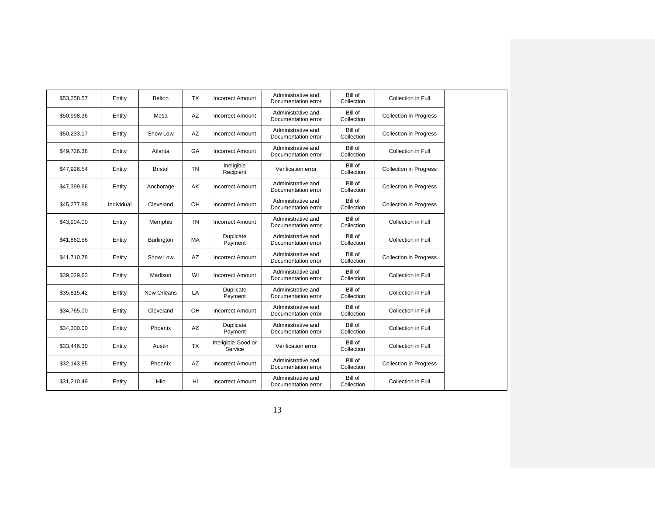| \$53.258.57 | Entity     |                |           |                               |                                           |                       |                               |  |
|-------------|------------|----------------|-----------|-------------------------------|-------------------------------------------|-----------------------|-------------------------------|--|
|             |            | <b>Belton</b>  | <b>TX</b> | <b>Incorrect Amount</b>       | Administrative and<br>Documentation error | Bill of<br>Collection | Collection in Full            |  |
| \$50,998.36 | Entity     | Mesa           | AZ        | <b>Incorrect Amount</b>       | Administrative and<br>Documentation error | Bill of<br>Collection | <b>Collection in Progress</b> |  |
| \$50,233.17 | Entity     | Show Low       | AZ        | <b>Incorrect Amount</b>       | Administrative and<br>Documentation error | Bill of<br>Collection | <b>Collection in Progress</b> |  |
| \$49.726.38 | Entity     | Atlanta        | GA        | <b>Incorrect Amount</b>       | Administrative and<br>Documentation error | Bill of<br>Collection | Collection in Full            |  |
| \$47,926.54 | Entity     | <b>Bristol</b> | <b>TN</b> | Ineligible<br>Recipient       | Verification error                        | Bill of<br>Collection | <b>Collection in Progress</b> |  |
| \$47,399.66 | Entity     | Anchorage      | AK        | <b>Incorrect Amount</b>       | Administrative and<br>Documentation error | Bill of<br>Collection | <b>Collection in Progress</b> |  |
| \$45,277.88 | Individual | Cleveland      | OH        | <b>Incorrect Amount</b>       | Administrative and<br>Documentation error | Bill of<br>Collection | <b>Collection in Progress</b> |  |
| \$43,904.00 | Entity     | Memphis        | <b>TN</b> | <b>Incorrect Amount</b>       | Administrative and<br>Documentation error | Bill of<br>Collection | Collection in Full            |  |
| \$41,862.56 | Entity     | Burlington     | MA        | Duplicate<br>Payment          | Administrative and<br>Documentation error | Bill of<br>Collection | Collection in Full            |  |
| \$41.710.78 | Entity     | Show Low       | AZ        | <b>Incorrect Amount</b>       | Administrative and<br>Documentation error | Bill of<br>Collection | <b>Collection in Progress</b> |  |
| \$39,029.63 | Entity     | Madison        | WI        | <b>Incorrect Amount</b>       | Administrative and<br>Documentation error | Bill of<br>Collection | Collection in Full            |  |
| \$35,815.42 | Entity     | New Orleans    | LA        | Duplicate<br>Payment          | Administrative and<br>Documentation error | Bill of<br>Collection | Collection in Full            |  |
| \$34,765.00 | Entity     | Cleveland      | OH        | <b>Incorrect Amount</b>       | Administrative and<br>Documentation error | Bill of<br>Collection | Collection in Full            |  |
| \$34,300.00 | Entity     | Phoenix        | AZ        | Duplicate<br>Payment          | Administrative and<br>Documentation error | Bill of<br>Collection | Collection in Full            |  |
| \$33,446.30 | Entity     | Austin         | TX        | Ineligible Good or<br>Service | Verification error                        | Bill of<br>Collection | Collection in Full            |  |
| \$32,143.85 | Entity     | Phoenix        | AZ        | <b>Incorrect Amount</b>       | Administrative and<br>Documentation error | Bill of<br>Collection | <b>Collection in Progress</b> |  |
| \$31.210.49 | Entity     | Hilo           | HI        | <b>Incorrect Amount</b>       | Administrative and<br>Documentation error | Bill of<br>Collection | Collection in Full            |  |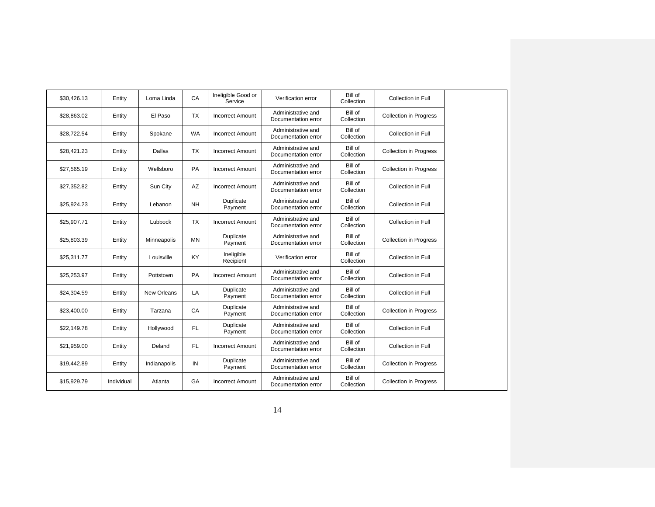| \$30,426.13 | Entity     | Loma Linda   | CA        | Ineligible Good or<br>Service | Verification error                        | Bill of<br>Collection | Collection in Full            |  |
|-------------|------------|--------------|-----------|-------------------------------|-------------------------------------------|-----------------------|-------------------------------|--|
| \$28.863.02 | Entity     | El Paso      | <b>TX</b> | <b>Incorrect Amount</b>       | Administrative and<br>Documentation error | Bill of<br>Collection | <b>Collection in Progress</b> |  |
| \$28,722.54 | Entity     | Spokane      | <b>WA</b> | <b>Incorrect Amount</b>       | Administrative and<br>Documentation error | Bill of<br>Collection | Collection in Full            |  |
| \$28,421.23 | Entity     | Dallas       | <b>TX</b> | <b>Incorrect Amount</b>       | Administrative and<br>Documentation error | Bill of<br>Collection | <b>Collection in Progress</b> |  |
| \$27,565.19 | Entity     | Wellsboro    | PA        | <b>Incorrect Amount</b>       | Administrative and<br>Documentation error | Bill of<br>Collection | <b>Collection in Progress</b> |  |
| \$27,352.82 | Entity     | Sun City     | AZ        | <b>Incorrect Amount</b>       | Administrative and<br>Documentation error | Bill of<br>Collection | Collection in Full            |  |
| \$25,924.23 | Entity     | Lebanon      | <b>NH</b> | Duplicate<br>Payment          | Administrative and<br>Documentation error | Bill of<br>Collection | Collection in Full            |  |
| \$25.907.71 | Entity     | Lubbock      | TX        | <b>Incorrect Amount</b>       | Administrative and<br>Documentation error | Bill of<br>Collection | Collection in Full            |  |
| \$25,803.39 | Entity     | Minneapolis  | <b>MN</b> | Duplicate<br>Payment          | Administrative and<br>Documentation error | Bill of<br>Collection | <b>Collection in Progress</b> |  |
| \$25,311.77 | Entity     | Louisville   | <b>KY</b> | Ineligible<br>Recipient       | Verification error                        | Bill of<br>Collection | Collection in Full            |  |
| \$25,253.97 | Entity     | Pottstown    | PA        | <b>Incorrect Amount</b>       | Administrative and<br>Documentation error | Bill of<br>Collection | Collection in Full            |  |
| \$24,304.59 | Entity     | New Orleans  | LA        | Duplicate<br>Payment          | Administrative and<br>Documentation error | Bill of<br>Collection | Collection in Full            |  |
| \$23,400.00 | Entity     | Tarzana      | CA        | Duplicate<br>Payment          | Administrative and<br>Documentation error | Bill of<br>Collection | <b>Collection in Progress</b> |  |
| \$22,149.78 | Entity     | Hollywood    | <b>FL</b> | Duplicate<br>Payment          | Administrative and<br>Documentation error | Bill of<br>Collection | Collection in Full            |  |
| \$21,959.00 | Entity     | Deland       | <b>FL</b> | <b>Incorrect Amount</b>       | Administrative and<br>Documentation error | Bill of<br>Collection | Collection in Full            |  |
| \$19,442.89 | Entity     | Indianapolis | IN        | Duplicate<br>Payment          | Administrative and<br>Documentation error | Bill of<br>Collection | <b>Collection in Progress</b> |  |
| \$15.929.79 | Individual | Atlanta      | GA        | <b>Incorrect Amount</b>       | Administrative and<br>Documentation error | Bill of<br>Collection | <b>Collection in Progress</b> |  |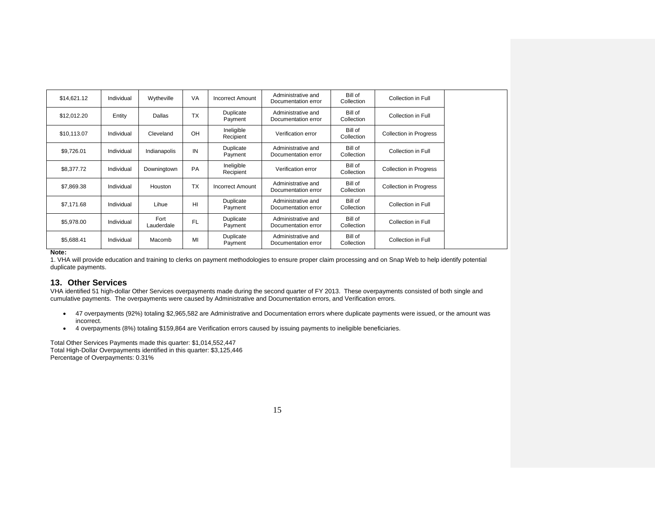| \$14,621.12 | Individual | Wytheville         | VA        | <b>Incorrect Amount</b> | Administrative and<br>Documentation error | Bill of<br>Collection | Collection in Full            |
|-------------|------------|--------------------|-----------|-------------------------|-------------------------------------------|-----------------------|-------------------------------|
| \$12,012.20 | Entity     | Dallas             | <b>TX</b> | Duplicate<br>Payment    | Administrative and<br>Documentation error | Bill of<br>Collection | Collection in Full            |
| \$10,113.07 | Individual | Cleveland          | OH        | Ineligible<br>Recipient | Verification error                        | Bill of<br>Collection | <b>Collection in Progress</b> |
| \$9,726.01  | Individual | Indianapolis       | IN        | Duplicate<br>Payment    | Administrative and<br>Documentation error | Bill of<br>Collection | Collection in Full            |
| \$8,377.72  | Individual | Downingtown        | PA        | Ineligible<br>Recipient | Verification error                        | Bill of<br>Collection | <b>Collection in Progress</b> |
| \$7,869.38  | Individual | Houston            | <b>TX</b> | <b>Incorrect Amount</b> | Administrative and<br>Documentation error | Bill of<br>Collection | <b>Collection in Progress</b> |
| \$7,171.68  | Individual | Lihue              | HI        | Duplicate<br>Payment    | Administrative and<br>Documentation error | Bill of<br>Collection | Collection in Full            |
| \$5,978.00  | Individual | Fort<br>Lauderdale | <b>FL</b> | Duplicate<br>Payment    | Administrative and<br>Documentation error | Bill of<br>Collection | Collection in Full            |
| \$5,688.41  | Individual | Macomb             | MI        | Duplicate<br>Payment    | Administrative and<br>Documentation error | Bill of<br>Collection | Collection in Full            |
|             |            |                    |           |                         |                                           |                       |                               |

1. VHA will provide education and training to clerks on payment methodologies to ensure proper claim processing and on Snap Web to help identify potential duplicate payments.

## **13. Other Services**

VHA identified 51 high-dollar Other Services overpayments made during the second quarter of FY 2013. These overpayments consisted of both single and cumulative payments. The overpayments were caused by Administrative and Documentation errors, and Verification errors.

- 47 overpayments (92%) totaling \$2,965,582 are Administrative and Documentation errors where duplicate payments were issued, or the amount was incorrect.
- 4 overpayments (8%) totaling \$159,864 are Verification errors caused by issuing payments to ineligible beneficiaries.

Total Other Services Payments made this quarter: \$1,014,552,447 Total High-Dollar Overpayments identified in this quarter: \$3,125,446 Percentage of Overpayments: 0.31%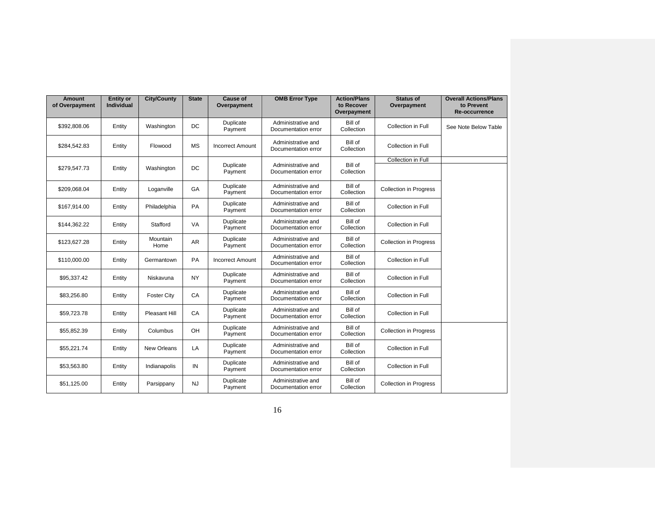| <b>Amount</b><br>of Overpayment | <b>Entity or</b><br><b>Individual</b> | <b>City/County</b> | <b>State</b> | Cause of<br>Overpayment | <b>OMB Error Type</b>                     | <b>Action/Plans</b><br>to Recover<br>Overpayment | <b>Status of</b><br>Overpayment | <b>Overall Actions/Plans</b><br>to Prevent<br>Re-occurrence |
|---------------------------------|---------------------------------------|--------------------|--------------|-------------------------|-------------------------------------------|--------------------------------------------------|---------------------------------|-------------------------------------------------------------|
| \$392,808.06                    | Entity                                | Washington         | DC           | Duplicate<br>Payment    | Administrative and<br>Documentation error | Bill of<br>Collection                            | Collection in Full              | See Note Below Table                                        |
| \$284,542.83                    | Entity                                | Flowood            | <b>MS</b>    | <b>Incorrect Amount</b> | Administrative and<br>Documentation error | Bill of<br>Collection                            | Collection in Full              |                                                             |
|                                 |                                       |                    |              |                         |                                           |                                                  | Collection in Full              |                                                             |
| \$279,547.73                    | Entity                                | Washington         | DC           | Duplicate<br>Payment    | Administrative and<br>Documentation error | Bill of<br>Collection                            |                                 |                                                             |
| \$209.068.04                    | Entity                                | Loganville         | GA           | Duplicate<br>Payment    | Administrative and<br>Documentation error | Bill of<br>Collection                            | <b>Collection in Progress</b>   |                                                             |
| \$167.914.00                    | Entity                                | Philadelphia       | PA           | Duplicate<br>Payment    | Administrative and<br>Documentation error | Bill of<br>Collection                            | Collection in Full              |                                                             |
| \$144,362.22                    | Entity                                | Stafford           | <b>VA</b>    | Duplicate<br>Payment    | Administrative and<br>Documentation error | Bill of<br>Collection                            | Collection in Full              |                                                             |
| \$123,627.28                    | Entity                                | Mountain<br>Home   | AR           | Duplicate<br>Payment    | Administrative and<br>Documentation error | Bill of<br>Collection                            | <b>Collection in Progress</b>   |                                                             |
| \$110,000.00                    | Entity                                | Germantown         | PA           | <b>Incorrect Amount</b> | Administrative and<br>Documentation error | Bill of<br>Collection                            | Collection in Full              |                                                             |
| \$95,337.42                     | Entity                                | Niskavuna          | <b>NY</b>    | Duplicate<br>Payment    | Administrative and<br>Documentation error | Bill of<br>Collection                            | Collection in Full              |                                                             |
| \$83,256.80                     | Entity                                | <b>Foster City</b> | CA           | Duplicate<br>Payment    | Administrative and<br>Documentation error | Bill of<br>Collection                            | Collection in Full              |                                                             |
| \$59,723.78                     | Entity                                | Pleasant Hill      | CA           | Duplicate<br>Payment    | Administrative and<br>Documentation error | Bill of<br>Collection                            | Collection in Full              |                                                             |
| \$55,852.39                     | Entity                                | Columbus           | OH           | Duplicate<br>Payment    | Administrative and<br>Documentation error | Bill of<br>Collection                            | <b>Collection in Progress</b>   |                                                             |
| \$55,221.74                     | Entity                                | New Orleans        | LA           | Duplicate<br>Payment    | Administrative and<br>Documentation error | Bill of<br>Collection                            | Collection in Full              |                                                             |
| \$53,563.80                     | Entity                                | Indianapolis       | IN           | Duplicate<br>Payment    | Administrative and<br>Documentation error | Bill of<br>Collection                            | Collection in Full              |                                                             |
| \$51.125.00                     | Entity                                | Parsippany         | <b>NJ</b>    | Duplicate<br>Payment    | Administrative and<br>Documentation error | Bill of<br>Collection                            | <b>Collection in Progress</b>   |                                                             |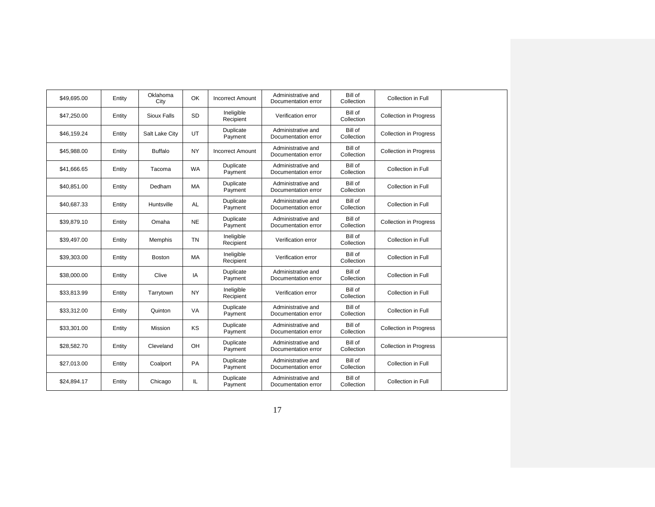| \$49.695.00 | Entity | Oklahoma<br>City | OK        | <b>Incorrect Amount</b> | Administrative and<br>Documentation error | Bill of<br>Collection | Collection in Full            |  |
|-------------|--------|------------------|-----------|-------------------------|-------------------------------------------|-----------------------|-------------------------------|--|
| \$47,250.00 | Entity | Sioux Falls      | <b>SD</b> | Ineligible<br>Recipient | Verification error                        | Bill of<br>Collection | <b>Collection in Progress</b> |  |
| \$46,159.24 | Entity | Salt Lake City   | UT        | Duplicate<br>Payment    | Administrative and<br>Documentation error | Bill of<br>Collection | <b>Collection in Progress</b> |  |
| \$45,988.00 | Entity | <b>Buffalo</b>   | <b>NY</b> | <b>Incorrect Amount</b> | Administrative and<br>Documentation error | Bill of<br>Collection | <b>Collection in Progress</b> |  |
| \$41,666.65 | Entity | Tacoma           | <b>WA</b> | Duplicate<br>Payment    | Administrative and<br>Documentation error | Bill of<br>Collection | Collection in Full            |  |
| \$40,851.00 | Entity | Dedham           | <b>MA</b> | Duplicate<br>Payment    | Administrative and<br>Documentation error | Bill of<br>Collection | Collection in Full            |  |
| \$40.687.33 | Entity | Huntsville       | <b>AL</b> | Duplicate<br>Payment    | Administrative and<br>Documentation error | Bill of<br>Collection | Collection in Full            |  |
| \$39.879.10 | Entity | Omaha            | <b>NE</b> | Duplicate<br>Payment    | Administrative and<br>Documentation error | Bill of<br>Collection | <b>Collection in Progress</b> |  |
| \$39,497.00 | Entity | Memphis          | <b>TN</b> | Ineligible<br>Recipient | Verification error                        | Bill of<br>Collection | Collection in Full            |  |
| \$39,303.00 | Entity | <b>Boston</b>    | <b>MA</b> | Ineligible<br>Recipient | Verification error                        | Bill of<br>Collection | Collection in Full            |  |
| \$38,000.00 | Entity | Clive            | IA        | Duplicate<br>Payment    | Administrative and<br>Documentation error | Bill of<br>Collection | Collection in Full            |  |
| \$33.813.99 | Entity | Tarrytown        | <b>NY</b> | Ineligible<br>Recipient | Verification error                        | Bill of<br>Collection | Collection in Full            |  |
| \$33,312.00 | Entity | Quinton          | VA        | Duplicate<br>Payment    | Administrative and<br>Documentation error | Bill of<br>Collection | Collection in Full            |  |
| \$33,301.00 | Entity | <b>Mission</b>   | KS        | Duplicate<br>Payment    | Administrative and<br>Documentation error | Bill of<br>Collection | <b>Collection in Progress</b> |  |
| \$28,582.70 | Entity | Cleveland        | OH        | Duplicate<br>Payment    | Administrative and<br>Documentation error | Bill of<br>Collection | Collection in Progress        |  |
| \$27,013.00 | Entity | Coalport         | PA        | Duplicate<br>Payment    | Administrative and<br>Documentation error | Bill of<br>Collection | Collection in Full            |  |
| \$24.894.17 | Entity | Chicago          | IL        | Duplicate<br>Payment    | Administrative and<br>Documentation error | Bill of<br>Collection | Collection in Full            |  |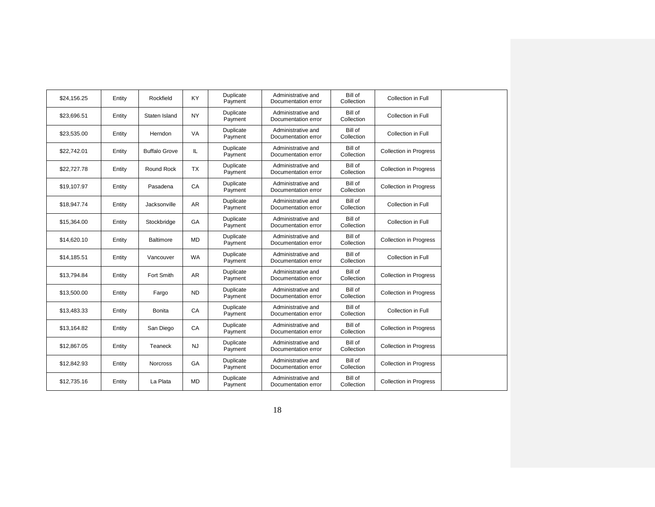| \$24.156.25 | Entity | Rockfield            | <b>KY</b> | Duplicate<br>Payment | Administrative and<br>Documentation error | Bill of<br>Collection | Collection in Full            |  |
|-------------|--------|----------------------|-----------|----------------------|-------------------------------------------|-----------------------|-------------------------------|--|
| \$23,696.51 | Entity | Staten Island        | <b>NY</b> | Duplicate<br>Payment | Administrative and<br>Documentation error | Bill of<br>Collection | Collection in Full            |  |
| \$23,535.00 | Entity | Herndon              | VA        | Duplicate<br>Payment | Administrative and<br>Documentation error | Bill of<br>Collection | Collection in Full            |  |
| \$22,742.01 | Entity | <b>Buffalo Grove</b> | IL        | Duplicate<br>Payment | Administrative and<br>Documentation error | Bill of<br>Collection | <b>Collection in Progress</b> |  |
| \$22,727.78 | Entity | Round Rock           | <b>TX</b> | Duplicate<br>Payment | Administrative and<br>Documentation error | Bill of<br>Collection | <b>Collection in Progress</b> |  |
| \$19,107.97 | Entity | Pasadena             | CA        | Duplicate<br>Payment | Administrative and<br>Documentation error | Bill of<br>Collection | <b>Collection in Progress</b> |  |
| \$18,947.74 | Entity | Jacksonville         | <b>AR</b> | Duplicate<br>Payment | Administrative and<br>Documentation error | Bill of<br>Collection | Collection in Full            |  |
| \$15,364.00 | Entity | Stockbridge          | GA        | Duplicate<br>Payment | Administrative and<br>Documentation error | Bill of<br>Collection | Collection in Full            |  |
| \$14,620.10 | Entity | <b>Baltimore</b>     | <b>MD</b> | Duplicate<br>Payment | Administrative and<br>Documentation error | Bill of<br>Collection | <b>Collection in Progress</b> |  |
| \$14,185.51 | Entity | Vancouver            | <b>WA</b> | Duplicate<br>Payment | Administrative and<br>Documentation error | Bill of<br>Collection | Collection in Full            |  |
| \$13,794.84 | Entity | Fort Smith           | <b>AR</b> | Duplicate<br>Payment | Administrative and<br>Documentation error | Bill of<br>Collection | <b>Collection in Progress</b> |  |
| \$13.500.00 | Entity | Fargo                | <b>ND</b> | Duplicate<br>Payment | Administrative and<br>Documentation error | Bill of<br>Collection | <b>Collection in Progress</b> |  |
| \$13,483.33 | Entity | <b>Bonita</b>        | CA        | Duplicate<br>Payment | Administrative and<br>Documentation error | Bill of<br>Collection | Collection in Full            |  |
| \$13,164.82 | Entity | San Diego            | CA        | Duplicate<br>Payment | Administrative and<br>Documentation error | Bill of<br>Collection | <b>Collection in Progress</b> |  |
| \$12,867.05 | Entity | Teaneck              | <b>NJ</b> | Duplicate<br>Payment | Administrative and<br>Documentation error | Bill of<br>Collection | <b>Collection in Progress</b> |  |
| \$12,842.93 | Entity | <b>Norcross</b>      | GA        | Duplicate<br>Payment | Administrative and<br>Documentation error | Bill of<br>Collection | <b>Collection in Progress</b> |  |
| \$12,735.16 | Entity | La Plata             | <b>MD</b> | Duplicate<br>Payment | Administrative and<br>Documentation error | Bill of<br>Collection | <b>Collection in Progress</b> |  |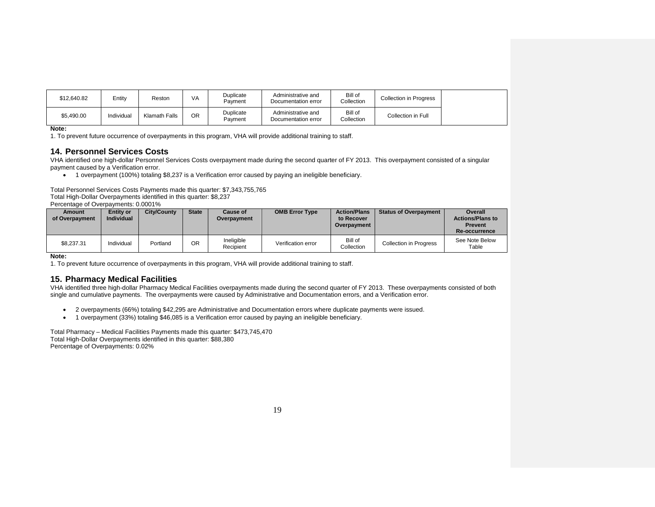| \$12.640.82 | Entity     | Reston        | VA        | Duplicate<br>Payment | Administrative and<br>Documentation error | Bill of<br>Collection | <b>Collection in Progress</b> |
|-------------|------------|---------------|-----------|----------------------|-------------------------------------------|-----------------------|-------------------------------|
| \$5,490.00  | Individual | Klamath Falls | <b>OR</b> | Duplicate<br>Pavment | Administrative and<br>Documentation error | Bill of<br>Collection | Collection in Full            |

1. To prevent future occurrence of overpayments in this program, VHA will provide additional training to staff.

## **14. Personnel Services Costs**

VHA identified one high-dollar Personnel Services Costs overpayment made during the second quarter of FY 2013. This overpayment consisted of a singular payment caused by a Verification error.

• 1 overpayment (100%) totaling \$8,237 is a Verification error caused by paying an ineligible beneficiary.

Total Personnel Services Costs Payments made this quarter: \$7,343,755,765 Total High-Dollar Overpayments identified in this quarter: \$8,237 Percentage of Overpayments: 0.0001%

| Amount<br>of Overpayment | <b>Entity or</b><br><b>Individual</b> | <b>City/County</b> | <b>State</b> | Cause of<br>Overpayment | <b>OMB Error Type</b> | <b>Action/Plans</b><br>to Recover<br>Overpayment | <b>Status of Overpayment</b>  | Overall<br><b>Actions/Plans to</b><br><b>Prevent</b><br>Re-occurrence |
|--------------------------|---------------------------------------|--------------------|--------------|-------------------------|-----------------------|--------------------------------------------------|-------------------------------|-----------------------------------------------------------------------|
| \$8.237.31               | Individual                            | Portland           | ΟR           | Ineligible<br>Recipient | Verification error    | Bill of<br>Collection                            | <b>Collection in Progress</b> | See Note Below<br>Table                                               |

#### **Note:**

1. To prevent future occurrence of overpayments in this program, VHA will provide additional training to staff.

## **15. Pharmacy Medical Facilities**

VHA identified three high-dollar Pharmacy Medical Facilities overpayments made during the second quarter of FY 2013. These overpayments consisted of both single and cumulative payments. The overpayments were caused by Administrative and Documentation errors, and a Verification error.

- 2 overpayments (66%) totaling \$42,295 are Administrative and Documentation errors where duplicate payments were issued.
- 1 overpayment (33%) totaling \$46,085 is a Verification error caused by paying an ineligible beneficiary.

Total Pharmacy – Medical Facilities Payments made this quarter: \$473,745,470 Total High-Dollar Overpayments identified in this quarter: \$88,380 Percentage of Overpayments: 0.02%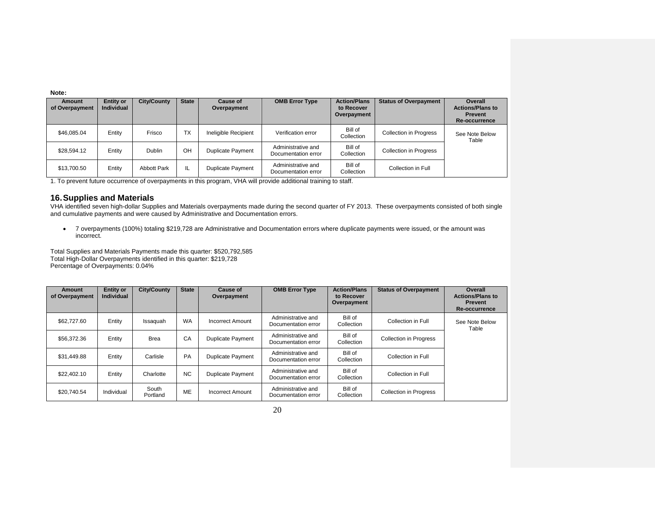| Amount<br>of Overpayment | <b>Entity or</b><br><b>Individual</b> | <b>City/County</b> | <b>State</b> | Cause of<br>Overpayment  | <b>OMB Error Type</b>                     | <b>Action/Plans</b><br>to Recover<br>Overpayment | <b>Status of Overpayment</b>  | Overall<br><b>Actions/Plans to</b><br><b>Prevent</b><br>Re-occurrence |
|--------------------------|---------------------------------------|--------------------|--------------|--------------------------|-------------------------------------------|--------------------------------------------------|-------------------------------|-----------------------------------------------------------------------|
| \$46,085.04              | Entity                                | Frisco             | TX           | Ineligible Recipient     | Verification error                        | Bill of<br>Collection                            | <b>Collection in Progress</b> | See Note Below<br>Table                                               |
| \$28,594.12              | Entity                                | Dublin             | OH           | <b>Duplicate Payment</b> | Administrative and<br>Documentation error | Bill of<br>Collection                            | <b>Collection in Progress</b> |                                                                       |
| \$13,700.50              | Entity                                | <b>Abbott Park</b> | IL           | <b>Duplicate Payment</b> | Administrative and<br>Documentation error | Bill of<br>Collection                            | Collection in Full            |                                                                       |

1. To prevent future occurrence of overpayments in this program, VHA will provide additional training to staff.

## **16.Supplies and Materials**

VHA identified seven high-dollar Supplies and Materials overpayments made during the second quarter of FY 2013. These overpayments consisted of both single and cumulative payments and were caused by Administrative and Documentation errors.

• 7 overpayments (100%) totaling \$219,728 are Administrative and Documentation errors where duplicate payments were issued, or the amount was incorrect.

Total Supplies and Materials Payments made this quarter: \$520,792,585 Total High-Dollar Overpayments identified in this quarter: \$219,728 Percentage of Overpayments: 0.04%

| Amount<br>of Overpayment | <b>Entity or</b><br><b>Individual</b> | <b>City/County</b> | <b>State</b> | Cause of<br>Overpayment  | <b>OMB Error Type</b>                     | <b>Action/Plans</b><br>to Recover<br>Overpayment | <b>Status of Overpayment</b>  | Overall<br><b>Actions/Plans to</b><br><b>Prevent</b><br>Re-occurrence |
|--------------------------|---------------------------------------|--------------------|--------------|--------------------------|-------------------------------------------|--------------------------------------------------|-------------------------------|-----------------------------------------------------------------------|
| \$62,727.60              | Entity                                | Issaquah           | <b>WA</b>    | <b>Incorrect Amount</b>  | Administrative and<br>Documentation error | Bill of<br>Collection                            | Collection in Full            | See Note Below<br>Table                                               |
| \$56,372.36              | Entity                                | <b>Brea</b>        | CA           | <b>Duplicate Payment</b> | Administrative and<br>Documentation error | Bill of<br>Collection                            | <b>Collection in Progress</b> |                                                                       |
| \$31,449.88              | Entity                                | Carlisle           | PA           | <b>Duplicate Payment</b> | Administrative and<br>Documentation error | Bill of<br>Collection                            | Collection in Full            |                                                                       |
| \$22,402.10              | Entity                                | Charlotte          | <b>NC</b>    | <b>Duplicate Payment</b> | Administrative and<br>Documentation error | Bill of<br>Collection                            | Collection in Full            |                                                                       |
| \$20.740.54              | Individual                            | South<br>Portland  | ME           | <b>Incorrect Amount</b>  | Administrative and<br>Documentation error | Bill of<br>Collection                            | <b>Collection in Progress</b> |                                                                       |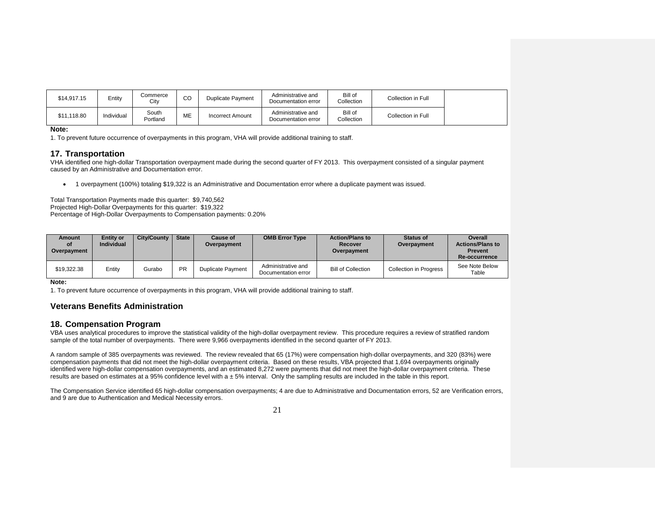| \$14,917.15 | Entity     | Commerce<br>City  | CC | <b>Duplicate Payment</b> | Administrative and<br>Documentation error | Bill of<br>Collection | Collection in Full |  |
|-------------|------------|-------------------|----|--------------------------|-------------------------------------------|-----------------------|--------------------|--|
| \$11,118.80 | Individual | South<br>Portland | ME | <b>Incorrect Amount</b>  | Administrative and<br>Documentation error | Bill of<br>Collection | Collection in Full |  |

1. To prevent future occurrence of overpayments in this program, VHA will provide additional training to staff.

## **17. Transportation**

VHA identified one high-dollar Transportation overpayment made during the second quarter of FY 2013. This overpayment consisted of a singular payment caused by an Administrative and Documentation error.

• 1 overpayment (100%) totaling \$19,322 is an Administrative and Documentation error where a duplicate payment was issued.

Total Transportation Payments made this quarter: \$9,740,562 Projected High-Dollar Overpayments for this quarter: \$19,322 Percentage of High-Dollar Overpayments to Compensation payments: 0.20%

| <b>Amount</b><br>οf<br>Overpayment | <b>Entity or</b><br><b>Individual</b> | City/County | <b>State</b> | Cause of<br>Overpayment  | <b>OMB Error Type</b>                     | <b>Action/Plans to</b><br>Recover<br>Overpayment | <b>Status of</b><br>Overpayment | Overall<br><b>Actions/Plans to</b><br><b>Prevent</b><br><b>Re-occurrence</b> |
|------------------------------------|---------------------------------------|-------------|--------------|--------------------------|-------------------------------------------|--------------------------------------------------|---------------------------------|------------------------------------------------------------------------------|
| \$19,322.38                        | Entity                                | Gurabo      | <b>PR</b>    | <b>Duplicate Payment</b> | Administrative and<br>Documentation error | <b>Bill of Collection</b>                        | <b>Collection in Progress</b>   | See Note Below<br>Table                                                      |

**Note:**

1. To prevent future occurrence of overpayments in this program, VHA will provide additional training to staff.

## **Veterans Benefits Administration**

## **18. Compensation Program**

VBA uses analytical procedures to improve the statistical validity of the high-dollar overpayment review. This procedure requires a review of stratified random sample of the total number of overpayments. There were 9,966 overpayments identified in the second quarter of FY 2013.

A random sample of 385 overpayments was reviewed. The review revealed that 65 (17%) were compensation high-dollar overpayments, and 320 (83%) were compensation payments that did not meet the high-dollar overpayment criteria. Based on these results, VBA projected that 1,694 overpayments originally identified were high-dollar compensation overpayments, and an estimated 8,272 were payments that did not meet the high-dollar overpayment criteria. These results are based on estimates at a 95% confidence level with a ± 5% interval. Only the sampling results are included in the table in this report.

The Compensation Service identified 65 high-dollar compensation overpayments; 4 are due to Administrative and Documentation errors, 52 are Verification errors, and 9 are due to Authentication and Medical Necessity errors.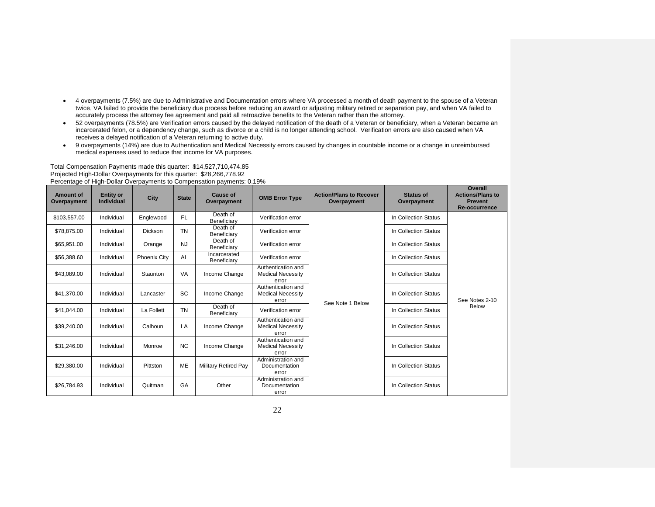- 4 overpayments (7.5%) are due to Administrative and Documentation errors where VA processed a month of death payment to the spouse of a Veteran twice, VA failed to provide the beneficiary due process before reducing an award or adjusting military retired or separation pay, and when VA failed to accurately process the attorney fee agreement and paid all retroactive benefits to the Veteran rather than the attorney.
- 52 overpayments (78.5%) are Verification errors caused by the delayed notification of the death of a Veteran or beneficiary, when a Veteran became an incarcerated felon, or a dependency change, such as divorce or a child is no longer attending school. Verification errors are also caused when VA receives a delayed notification of a Veteran returning to active duty.
- 9 overpayments (14%) are due to Authentication and Medical Necessity errors caused by changes in countable income or a change in unreimbursed medical expenses used to reduce that income for VA purposes.

Total Compensation Payments made this quarter: \$14,527,710,474.85 Projected High-Dollar Overpayments for this quarter: \$28,266,778.92 Percentage of High-Dollar Overpayments to Compensation payments: 0.19%

| Amount of<br>Overpayment | <b>Entity or</b><br><b>Individual</b> | <b>City</b>         | <b>State</b> | <b>Cause of</b><br>Overpayment | <b>OMB Error Type</b>                                   | <b>Action/Plans to Recover</b><br>Overpayment | <b>Status of</b><br>Overpayment | Overall<br><b>Actions/Plans to</b><br><b>Prevent</b><br>Re-occurrence |
|--------------------------|---------------------------------------|---------------------|--------------|--------------------------------|---------------------------------------------------------|-----------------------------------------------|---------------------------------|-----------------------------------------------------------------------|
| \$103.557.00             | Individual                            | Englewood           | FL.          | Death of<br>Beneficiary        | Verification error                                      |                                               | In Collection Status            |                                                                       |
| \$78.875.00              | Individual                            | Dickson             | <b>TN</b>    | Death of<br>Beneficiary        | Verification error                                      |                                               | In Collection Status            |                                                                       |
| \$65,951.00              | Individual                            | Orange              | <b>NJ</b>    | Death of<br>Beneficiary        | Verification error                                      |                                               | In Collection Status            |                                                                       |
| \$56,388.60              | Individual                            | <b>Phoenix City</b> | <b>AL</b>    | Incarcerated<br>Beneficiary    | Verification error                                      |                                               | In Collection Status            |                                                                       |
| \$43,089,00              | Individual                            | Staunton            | VA           | Income Change                  | Authentication and<br><b>Medical Necessity</b><br>error |                                               | In Collection Status            |                                                                       |
| \$41,370.00              | Individual                            | Lancaster           | <b>SC</b>    | Income Change                  | Authentication and<br><b>Medical Necessity</b><br>error | See Note 1 Below                              | In Collection Status            | See Notes 2-10<br><b>Below</b>                                        |
| \$41.044.00              | Individual                            | La Follett          | <b>TN</b>    | Death of<br>Beneficiary        | Verification error                                      |                                               | In Collection Status            |                                                                       |
| \$39,240.00              | Individual                            | Calhoun             | LA           | Income Change                  | Authentication and<br><b>Medical Necessity</b><br>error |                                               | In Collection Status            |                                                                       |
| \$31.246.00              | Individual                            | Monroe              | <b>NC</b>    | Income Change                  | Authentication and<br><b>Medical Necessity</b><br>error |                                               | In Collection Status            |                                                                       |
| \$29,380.00              | Individual                            | Pittston            | <b>ME</b>    | <b>Military Retired Pay</b>    | Administration and<br>Documentation<br>error            |                                               | In Collection Status            |                                                                       |
| \$26,784.93              | Individual                            | Quitman             | GA           | Other                          | Administration and<br>Documentation<br>error            |                                               | In Collection Status            |                                                                       |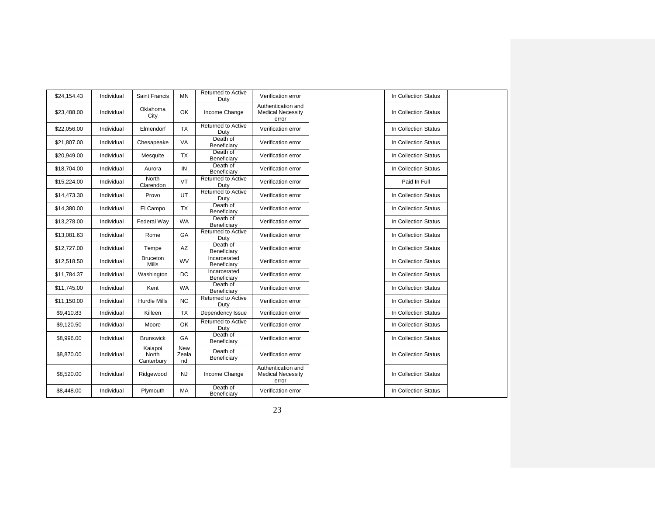| \$24,154.43 | Individual | Saint Francis                  | <b>MN</b>                 | <b>Returned to Active</b><br>Duty | Verification error                                      | In Collection Status |
|-------------|------------|--------------------------------|---------------------------|-----------------------------------|---------------------------------------------------------|----------------------|
| \$23,488.00 | Individual | Oklahoma<br>City               | OK                        | Income Change                     | Authentication and<br><b>Medical Necessity</b><br>error | In Collection Status |
| \$22.056.00 | Individual | Elmendorf                      | TX                        | Returned to Active<br>Duty        | Verification error                                      | In Collection Status |
| \$21,807.00 | Individual | Chesapeake                     | VA                        | Death of<br>Beneficiary           | Verification error                                      | In Collection Status |
| \$20,949.00 | Individual | Mesquite                       | <b>TX</b>                 | Death of<br>Beneficiary           | Verification error                                      | In Collection Status |
| \$18,704.00 | Individual | Aurora                         | IN                        | Death of<br>Beneficiary           | Verification error                                      | In Collection Status |
| \$15,224.00 | Individual | <b>North</b><br>Clarendon      | <b>VT</b>                 | <b>Returned to Active</b><br>Duty | Verification error                                      | Paid In Full         |
| \$14,473.30 | Individual | Provo                          | UT                        | <b>Returned to Active</b><br>Duty | Verification error                                      | In Collection Status |
| \$14,380.00 | Individual | El Campo                       | <b>TX</b>                 | Death of<br>Beneficiary           | Verification error                                      | In Collection Status |
| \$13,278.00 | Individual | Federal Way                    | <b>WA</b>                 | Death of<br>Beneficiary           | Verification error                                      | In Collection Status |
| \$13.081.63 | Individual | Rome                           | GA                        | <b>Returned to Active</b><br>Duty | Verification error                                      | In Collection Status |
| \$12,727.00 | Individual | Tempe                          | AZ                        | Death of<br>Beneficiary           | Verification error                                      | In Collection Status |
| \$12,518.50 | Individual | <b>Bruceton</b><br>Mills       | <b>WV</b>                 | Incarcerated<br>Beneficiary       | Verification error                                      | In Collection Status |
| \$11,784.37 | Individual | Washington                     | DC                        | Incarcerated<br>Beneficiary       | Verification error                                      | In Collection Status |
| \$11.745.00 | Individual | Kent                           | <b>WA</b>                 | Death of<br>Beneficiary           | Verification error                                      | In Collection Status |
| \$11,150.00 | Individual | <b>Hurdle Mills</b>            | <b>NC</b>                 | Returned to Active<br>Duty        | Verification error                                      | In Collection Status |
| \$9.410.83  | Individual | Killeen                        | TX                        | Dependency Issue                  | Verification error                                      | In Collection Status |
| \$9,120.50  | Individual | Moore                          | OK                        | Returned to Active<br>Duty        | Verification error                                      | In Collection Status |
| \$8,996.00  | Individual | <b>Brunswick</b>               | GA                        | Death of<br>Beneficiary           | Verification error                                      | In Collection Status |
| \$8,870.00  | Individual | Kaiapoi<br>North<br>Canterbury | <b>New</b><br>Zeala<br>nd | Death of<br>Beneficiary           | Verification error                                      | In Collection Status |
| \$8,520.00  | Individual | Ridgewood                      | NJ                        | Income Change                     | Authentication and<br><b>Medical Necessity</b><br>error | In Collection Status |
| \$8,448.00  | Individual | Plymouth                       | MA                        | Death of<br>Beneficiary           | Verification error                                      | In Collection Status |

| In Collection Status |  |
|----------------------|--|
| In Collection Status |  |
| In Collection Status |  |
| In Collection Status |  |
| In Collection Status |  |
| In Collection Status |  |
| Paid In Full         |  |
| In Collection Status |  |
| In Collection Status |  |
| In Collection Status |  |
| In Collection Status |  |
| In Collection Status |  |
| In Collection Status |  |
| In Collection Status |  |
| In Collection Status |  |
| In Collection Status |  |
| In Collection Status |  |
| In Collection Status |  |
| In Collection Status |  |
| In Collection Status |  |
| In Collection Status |  |
| In Collection Status |  |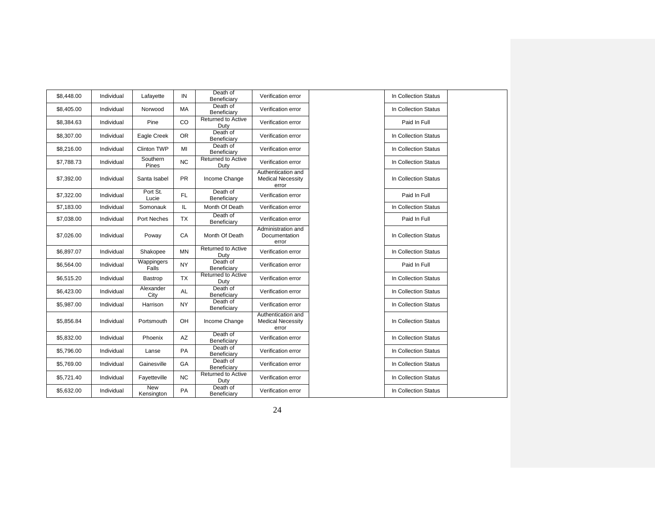| \$8,448.00 | Individual | Lafayette                | IN        | Death of<br>Beneficiary    | Verification error                                      | In Collection Status |
|------------|------------|--------------------------|-----------|----------------------------|---------------------------------------------------------|----------------------|
| \$8,405.00 | Individual | Norwood                  | <b>MA</b> | Death of<br>Beneficiary    | Verification error                                      | In Collection Status |
| \$8,384.63 | Individual | Pine                     | CO        | Returned to Active<br>Duty | Verification error                                      | Paid In Full         |
| \$8,307.00 | Individual | Eagle Creek              | <b>OR</b> | Death of<br>Beneficiary    | Verification error                                      | In Collection Status |
| \$8,216.00 | Individual | Clinton TWP              | MI        | Death of<br>Beneficiary    | Verification error                                      | In Collection Status |
| \$7,788.73 | Individual | Southern<br>Pines        | <b>NC</b> | Returned to Active<br>Duty | Verification error                                      | In Collection Status |
| \$7,392.00 | Individual | Santa Isabel             | <b>PR</b> | Income Change              | Authentication and<br><b>Medical Necessity</b><br>error | In Collection Status |
| \$7,322.00 | Individual | Port St.<br>Lucie        | FL        | Death of<br>Beneficiary    | Verification error                                      | Paid In Full         |
| \$7,183.00 | Individual | Somonauk                 | IL.       | Month Of Death             | Verification error                                      | In Collection Status |
| \$7.038.00 | Individual | Port Neches              | TX        | Death of<br>Beneficiary    | Verification error                                      | Paid In Full         |
| \$7,026.00 | Individual | Poway                    | CA        | Month Of Death             | Administration and<br>Documentation<br>error            | In Collection Status |
| \$6,897.07 | Individual | Shakopee                 | MN        | Returned to Active<br>Duty | Verification error                                      | In Collection Status |
| \$6,564.00 | Individual | Wappingers<br>Falls      | <b>NY</b> | Death of<br>Beneficiary    | Verification error                                      | Paid In Full         |
| \$6,515.20 | Individual | Bastrop                  | <b>TX</b> | Returned to Active<br>Duty | Verification error                                      | In Collection Status |
| \$6,423.00 | Individual | Alexander<br>City        | <b>AL</b> | Death of<br>Beneficiary    | Verification error                                      | In Collection Status |
| \$5,987.00 | Individual | Harrison                 | <b>NY</b> | Death of<br>Beneficiary    | Verification error                                      | In Collection Status |
| \$5,856.84 | Individual | Portsmouth               | OH        | Income Change              | Authentication and<br><b>Medical Necessity</b><br>error | In Collection Status |
| \$5,832.00 | Individual | Phoenix                  | AZ        | Death of<br>Beneficiary    | Verification error                                      | In Collection Status |
| \$5,796.00 | Individual | Lanse                    | PA        | Death of<br>Beneficiary    | Verification error                                      | In Collection Status |
| \$5,769.00 | Individual | Gainesville              | GA        | Death of<br>Beneficiary    | Verification error                                      | In Collection Status |
| \$5,721.40 | Individual | Fayetteville             | <b>NC</b> | Returned to Active<br>Duty | Verification error                                      | In Collection Status |
| \$5,632.00 | Individual | <b>New</b><br>Kensington | PA        | Death of<br>Beneficiary    | Verification error                                      | In Collection Status |

| In Collection Status |  |
|----------------------|--|
| In Collection Status |  |
| Paid In Full         |  |
| In Collection Status |  |
| In Collection Status |  |
| In Collection Status |  |
| In Collection Status |  |
| Paid In Full         |  |
| In Collection Status |  |
| Paid In Full         |  |
| In Collection Status |  |
| In Collection Status |  |
| Paid In Full         |  |
| In Collection Status |  |
| In Collection Status |  |
| In Collection Status |  |
| In Collection Status |  |
| In Collection Status |  |
| In Collection Status |  |
| In Collection Status |  |
| In Collection Status |  |
| In Collection Status |  |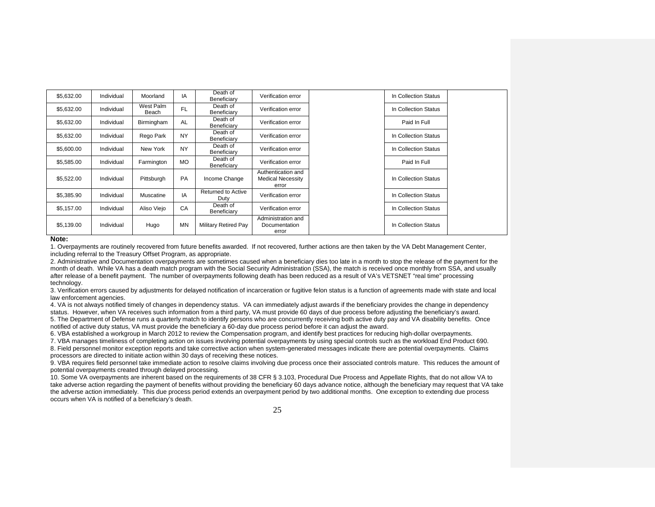| \$5,632.00 | Individual | Moorland           | IA        | Death of<br>Beneficiary     | Verification error                                      | In Collection Status |  |
|------------|------------|--------------------|-----------|-----------------------------|---------------------------------------------------------|----------------------|--|
| \$5,632.00 | Individual | West Palm<br>Beach | <b>FL</b> | Death of<br>Beneficiary     | Verification error                                      | In Collection Status |  |
| \$5,632.00 | Individual | Birmingham         | AL        | Death of<br>Beneficiary     | Verification error                                      | Paid In Full         |  |
| \$5,632.00 | Individual | Rego Park          | <b>NY</b> | Death of<br>Beneficiary     | Verification error                                      | In Collection Status |  |
| \$5,600.00 | Individual | New York           | <b>NY</b> | Death of<br>Beneficiary     | Verification error                                      | In Collection Status |  |
| \$5,585.00 | Individual | Farmington         | <b>MO</b> | Death of<br>Beneficiary     | Verification error                                      | Paid In Full         |  |
| \$5,522.00 | Individual | Pittsburgh         | PA        | Income Change               | Authentication and<br><b>Medical Necessity</b><br>error | In Collection Status |  |
| \$5,385.90 | Individual | Muscatine          | IA        | Returned to Active<br>Duty  | Verification error                                      | In Collection Status |  |
| \$5,157.00 | Individual | Aliso Viejo        | CA        | Death of<br>Beneficiary     | Verification error                                      | In Collection Status |  |
| \$5,139.00 | Individual | Hugo               | ΜN        | <b>Military Retired Pay</b> | Administration and<br>Documentation<br>error            | In Collection Status |  |

1. Overpayments are routinely recovered from future benefits awarded. If not recovered, further actions are then taken by the VA Debt Management Center, including referral to the Treasury Offset Program, as appropriate.

2. Administrative and Documentation overpayments are sometimes caused when a beneficiary dies too late in a month to stop the release of the payment for the month of death. While VA has a death match program with the Social Security Administration (SSA), the match is received once monthly from SSA, and usually after release of a benefit payment. The number of overpayments following death has been reduced as a result of VA's VETSNET "real time" processing technology.

3. Verification errors caused by adjustments for delayed notification of incarceration or fugitive felon status is a function of agreements made with state and local law enforcement agencies.

4. VA is not always notified timely of changes in dependency status. VA can immediately adjust awards if the beneficiary provides the change in dependency status. However, when VA receives such information from a third party, VA must provide 60 days of due process before adjusting the beneficiary's award.

5. The Department of Defense runs a quarterly match to identify persons who are concurrently receiving both active duty pay and VA disability benefits. Once notified of active duty status, VA must provide the beneficiary a 60-day due process period before it can adjust the award.

6. VBA established a workgroup in March 2012 to review the Compensation program, and identify best practices for reducing high-dollar overpayments.

7. VBA manages timeliness of completing action on issues involving potential overpayments by using special controls such as the workload End Product 690.

8. Field personnel monitor exception reports and take corrective action when system-generated messages indicate there are potential overpayments. Claims processors are directed to initiate action within 30 days of receiving these notices.

9. VBA requires field personnel take immediate action to resolve claims involving due process once their associated controls mature. This reduces the amount of potential overpayments created through delayed processing.

10. Some VA overpayments are inherent based on the requirements of 38 CFR § 3.103, Procedural Due Process and Appellate Rights, that do not allow VA to take adverse action regarding the payment of benefits without providing the beneficiary 60 days advance notice, although the beneficiary may request that VA take the adverse action immediately. This due process period extends an overpayment period by two additional months. One exception to extending due process occurs when VA is notified of a beneficiary's death.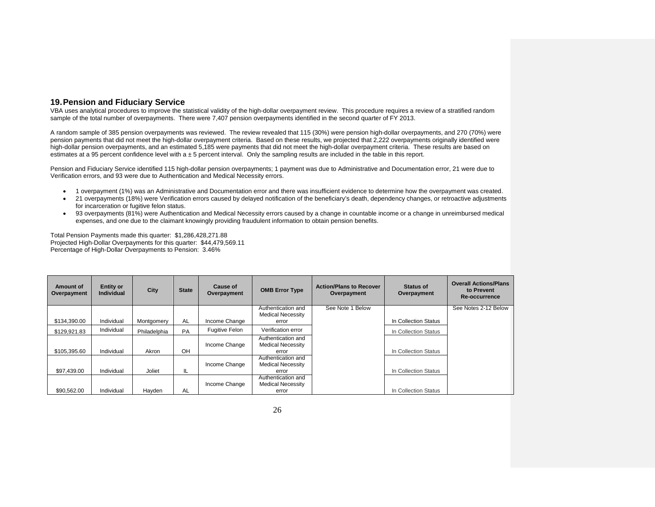**19. Pension and Fiduciary Service**<br>VBA uses analytical procedures to improve the statistical validity of the high-dollar overpayment review. This procedure requires a review of a stratified random sample of the total number of overpayments. There were 7,407 pension overpayments identified in the second quarter of FY 2013.

A random sample of 385 pension overpayments was reviewed. The review revealed that 115 (30%) were pension high-dollar overpayments, and 270 (70%) were pension payments that did not meet the high-dollar overpayment criteria. Based on these results, we projected that 2,222 overpayments originally identified were high-dollar pension overpayments, and an estimated 5,185 were payments that did not meet the high-dollar overpayment criteria. These results are based on estimates at a 95 percent confidence level with  $a \pm 5$  percent interval. Only the sampling results are included in the table in this report.

Pension and Fiduciary Service identified 115 high-dollar pension overpayments; 1 payment was due to Administrative and Documentation error, 21 were due to Verification errors, and 93 were due to Authentication and Medical Necessity errors.

- 1 overpayment (1%) was an Administrative and Documentation error and there was insufficient evidence to determine how the overpayment was created.
- 21 overpayments (18%) were Verification errors caused by delayed notification of the beneficiary's death, dependency changes, or retroactive adjustments for incarceration or fugitive felon status.
- 93 overpayments (81%) were Authentication and Medical Necessity errors caused by a change in countable income or a change in unreimbursed medical expenses, and one due to the claimant knowingly providing fraudulent information to obtain pension benefits.

Total Pension Payments made this quarter: \$1,286,428,271.88 Projected High-Dollar Overpayments for this quarter: \$44,479,569.11 Percentage of High-Dollar Overpayments to Pension: 3.46%

| Amount of<br>Overpayment | <b>Entity or</b><br>Individual | City         | <b>State</b> | Cause of<br>Overpayment | <b>OMB Error Type</b>                                   | <b>Action/Plans to Recover</b><br>Overpayment | <b>Status of</b><br>Overpayment | <b>Overall Actions/Plans</b><br>to Prevent<br><b>Re-occurrence</b> |
|--------------------------|--------------------------------|--------------|--------------|-------------------------|---------------------------------------------------------|-----------------------------------------------|---------------------------------|--------------------------------------------------------------------|
|                          |                                |              |              |                         | Authentication and<br><b>Medical Necessity</b>          | See Note 1 Below                              |                                 | See Notes 2-12 Below                                               |
| \$134,390.00             | Individual                     | Montgomery   | AL           | Income Change           | error                                                   |                                               | In Collection Status            |                                                                    |
| \$129,921.83             | Individual                     | Philadelphia | PA           | <b>Fugitive Felon</b>   | Verification error                                      |                                               | In Collection Status            |                                                                    |
| \$105,395.60             | Individual                     | Akron        | OH           | Income Change           | Authentication and<br><b>Medical Necessity</b><br>error |                                               | In Collection Status            |                                                                    |
| \$97.439.00              | Individual                     | Joliet       | IL.          | Income Change           | Authentication and<br><b>Medical Necessity</b><br>error |                                               | In Collection Status            |                                                                    |
| \$90,562.00              | Individual                     | Hayden       | <b>AL</b>    | Income Change           | Authentication and<br><b>Medical Necessity</b><br>error |                                               | In Collection Status            |                                                                    |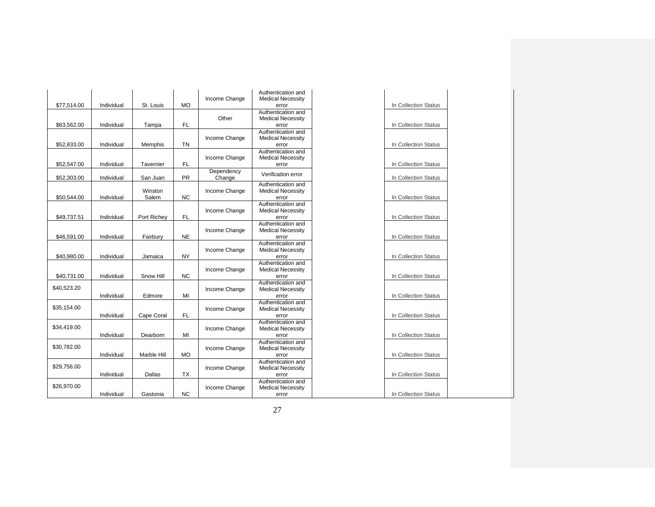| \$77,514.00 | Individual | St. Louis        | <b>MO</b> | Income Change        | Authentication and<br><b>Medical Necessity</b><br>error | In Collection Status |
|-------------|------------|------------------|-----------|----------------------|---------------------------------------------------------|----------------------|
| \$63,562.00 | Individual | Tampa            | FL.       | Other                | Authentication and<br><b>Medical Necessity</b><br>error | In Collection Status |
| \$52,833.00 | Individual | Memphis          | <b>TN</b> | Income Change        | Authentication and<br><b>Medical Necessity</b><br>error | In Collection Status |
| \$52,547.00 | Individual | Tavernier        | FL.       | Income Change        | Authentication and<br><b>Medical Necessity</b><br>error | In Collection Status |
| \$52,303.00 | Individual | San Juan         | <b>PR</b> | Dependency<br>Change | Verification error                                      | In Collection Status |
| \$50,544.00 | Individual | Winston<br>Salem | <b>NC</b> | Income Change        | Authentication and<br><b>Medical Necessity</b><br>error | In Collection Status |
| \$49,737.51 | Individual | Port Richey      | FL.       | Income Change        | Authentication and<br><b>Medical Necessity</b><br>error | In Collection Status |
| \$46,591.00 | Individual | Fairbury         | <b>NE</b> | Income Change        | Authentication and<br><b>Medical Necessity</b><br>error | In Collection Status |
| \$40,980.00 | Individual | Jamaica          | <b>NY</b> | Income Change        | Authentication and<br><b>Medical Necessity</b><br>error | In Collection Status |
| \$40,731.00 | Individual | Snow Hill        | <b>NC</b> | Income Change        | Authentication and<br><b>Medical Necessity</b><br>error | In Collection Status |
| \$40,523.20 | Individual | Edmore           | MI        | Income Change        | Authentication and<br><b>Medical Necessity</b><br>error | In Collection Status |
| \$35,154.00 | Individual | Cape Coral       | FL.       | Income Change        | Authentication and<br><b>Medical Necessity</b><br>error | In Collection Status |
| \$34,419.00 | Individual | Dearborn         | MI        | Income Change        | Authentication and<br><b>Medical Necessity</b><br>error | In Collection Status |
| \$30,782.00 | Individual | Marble Hill      | <b>MO</b> | Income Change        | Authentication and<br><b>Medical Necessity</b><br>error | In Collection Status |
| \$29,756.00 | Individual | Dallas           | TX        | Income Change        | Authentication and<br><b>Medical Necessity</b><br>error | In Collection Status |
| \$26,970.00 | Individual | Gastonia         | <b>NC</b> | Income Change        | Authentication and<br><b>Medical Necessity</b><br>error | In Collection Status |

n Status n Status n Status n Status n Status n Status n Status n Status n Status n Status n Status n Status

27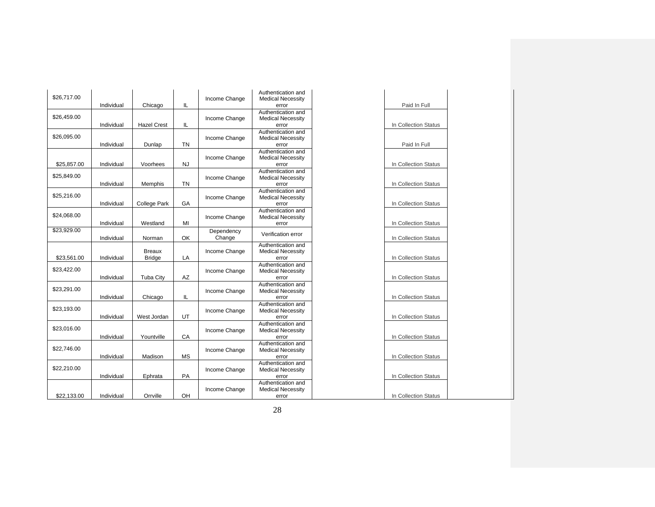| \$26,717.00 | Individual               | Chicago                        | IL              | Income Change        | Authentication and<br><b>Medical Necessity</b><br>error          | Paid In Full                         |
|-------------|--------------------------|--------------------------------|-----------------|----------------------|------------------------------------------------------------------|--------------------------------------|
| \$26,459.00 |                          |                                |                 | Income Change        | Authentication and<br><b>Medical Necessity</b>                   |                                      |
| \$26,095.00 | Individual               | <b>Hazel Crest</b>             | IL<br><b>TN</b> | Income Change        | error<br>Authentication and<br><b>Medical Necessity</b>          | In Collection Status<br>Paid In Full |
| \$25,857.00 | Individual<br>Individual | Dunlap<br>Voorhees             | NJ              | Income Change        | error<br>Authentication and<br><b>Medical Necessity</b><br>error | In Collection Status                 |
| \$25,849.00 | Individual               | Memphis                        | TN              | Income Change        | Authentication and<br><b>Medical Necessity</b><br>error          | In Collection Status                 |
| \$25,216.00 | Individual               | <b>College Park</b>            | GA              | Income Change        | Authentication and<br><b>Medical Necessity</b><br>error          | In Collection Status                 |
| \$24,068.00 | Individual               | Westland                       | МI              | Income Change        | Authentication and<br><b>Medical Necessity</b><br>error          | In Collection Status                 |
| \$23,929.00 | Individual               | Norman                         | OK              | Dependency<br>Change | Verification error                                               | In Collection Status                 |
| \$23,561.00 | Individual               | <b>Breaux</b><br><b>Bridge</b> | LA              | Income Change        | Authentication and<br><b>Medical Necessity</b><br>error          | In Collection Status                 |
| \$23,422.00 | Individual               | <b>Tuba City</b>               | AZ              | Income Change        | Authentication and<br><b>Medical Necessity</b><br>error          | In Collection Status                 |
| \$23,291.00 | Individual               | Chicago                        | IL              | Income Change        | Authentication and<br><b>Medical Necessity</b><br>error          | In Collection Status                 |
| \$23,193.00 | Individual               | West Jordan                    | UT              | Income Change        | Authentication and<br><b>Medical Necessity</b><br>error          | In Collection Status                 |
| \$23,016.00 | Individual               | Yountville                     | CA              | Income Change        | Authentication and<br><b>Medical Necessity</b><br>error          | In Collection Status                 |
| \$22,746.00 | Individual               | Madison                        | MS              | Income Change        | Authentication and<br><b>Medical Necessity</b><br>error          | In Collection Status                 |
| \$22,210.00 | Individual               | Ephrata                        | PA              | Income Change        | Authentication and<br><b>Medical Necessity</b><br>error          | In Collection Status                 |
| \$22,133.00 | Individual               | Orrville                       | OH              | Income Change        | Authentication and<br><b>Medical Necessity</b><br>error          | In Collection Status                 |

| Paid In Full         |  |
|----------------------|--|
|                      |  |
| In Collection Status |  |
| Paid In Full         |  |
| In Collection Status |  |
| In Collection Status |  |
|                      |  |
| In Collection Status |  |
| In Collection Status |  |
| In Collection Status |  |
| In Collection Status |  |
| In Collection Status |  |
| In Collection Status |  |
| In Collection Status |  |
|                      |  |
| In Collection Status |  |
| In Collection Status |  |
| In Collection Status |  |
| In Collection Status |  |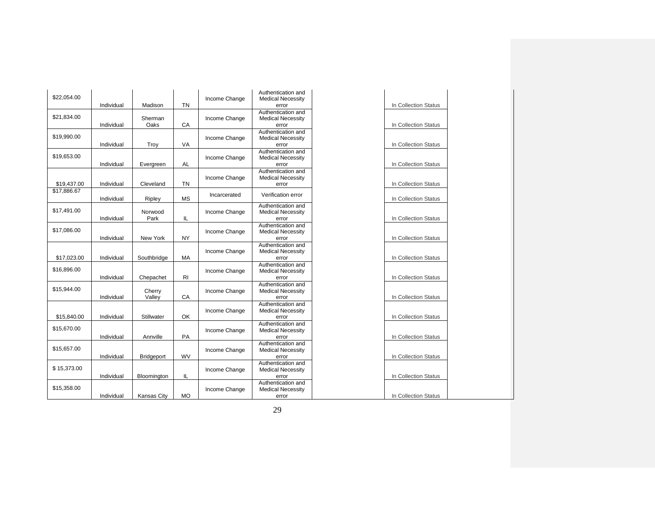| \$22,054.00 | Individual | Madison          | TN             | Income Change | Authentication and<br><b>Medical Necessity</b><br>error | In Collection Status |
|-------------|------------|------------------|----------------|---------------|---------------------------------------------------------|----------------------|
| \$21,834.00 | Individual | Sherman<br>Oaks  | CA             | Income Change | Authentication and<br><b>Medical Necessity</b><br>error | In Collection Status |
| \$19,990.00 | Individual | Troy             | VA             | Income Change | Authentication and<br><b>Medical Necessity</b><br>error | In Collection Status |
| \$19,653.00 | Individual | Evergreen        | AL             | Income Change | Authentication and<br><b>Medical Necessity</b><br>error | In Collection Status |
| \$19,437.00 | Individual | Cleveland        | TN             | Income Change | Authentication and<br><b>Medical Necessity</b><br>error | In Collection Status |
| \$17,886.67 | Individual | <b>Ripley</b>    | <b>MS</b>      | Incarcerated  | Verification error                                      | In Collection Status |
| \$17,491.00 | Individual | Norwood<br>Park  | IL             | Income Change | Authentication and<br><b>Medical Necessity</b><br>error | In Collection Status |
| \$17,086.00 | Individual | New York         | <b>NY</b>      | Income Change | Authentication and<br><b>Medical Necessity</b><br>error | In Collection Status |
| \$17,023.00 | Individual | Southbridge      | MA             | Income Change | Authentication and<br><b>Medical Necessity</b><br>error | In Collection Status |
| \$16,896.00 | Individual | Chepachet        | R <sub>l</sub> | Income Change | Authentication and<br><b>Medical Necessity</b><br>error | In Collection Status |
| \$15.944.00 | Individual | Cherry<br>Valley | CA             | Income Change | Authentication and<br><b>Medical Necessity</b><br>error | In Collection Status |
| \$15,840.00 | Individual | Stillwater       | OK             | Income Change | Authentication and<br><b>Medical Necessity</b><br>error | In Collection Status |
| \$15,670.00 | Individual | Annville         | PA             | Income Change | Authentication and<br><b>Medical Necessity</b><br>error | In Collection Status |
| \$15,657.00 | Individual | Bridgeport       | <b>WV</b>      | Income Change | Authentication and<br><b>Medical Necessity</b><br>error | In Collection Status |
| \$15,373.00 | Individual | Bloomington      | IL             | Income Change | Authentication and<br><b>Medical Necessity</b><br>error | In Collection Status |
| \$15,358.00 | Individual | Kansas City      | <b>MO</b>      | Income Change | Authentication and<br><b>Medical Necessity</b><br>error | In Collection Status |

| In Collection Status |
|----------------------|
| In Collection Status |
| In Collection Status |
| In Collection Status |
| In Collection Status |
| In Collection Status |
| In Collection Status |
| In Collection Status |
| In Collection Status |
| In Collection Status |
| In Collection Status |
| In Collection Status |
| In Collection Status |
| In Collection Status |
| In Collection Status |
| In Collection Status |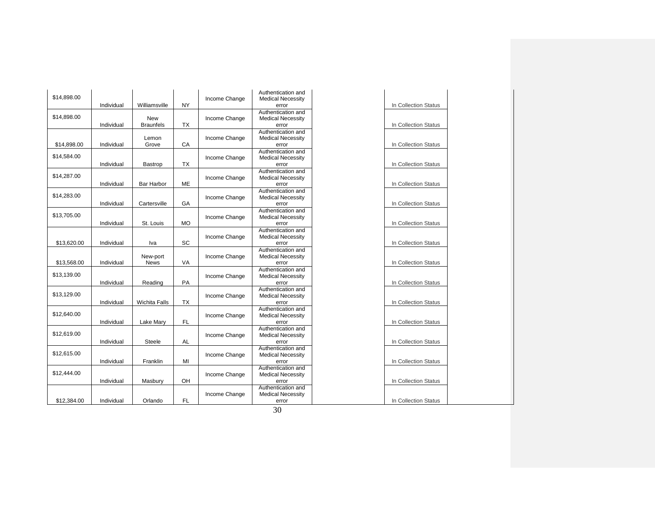| \$14,898.00 | Individual | Williamsville                  | <b>NY</b> | Income Change | Authentication and<br><b>Medical Necessity</b><br>error | In Collection Status |
|-------------|------------|--------------------------------|-----------|---------------|---------------------------------------------------------|----------------------|
|             |            |                                |           |               | Authentication and                                      |                      |
| \$14,898.00 | Individual | <b>New</b><br><b>Braunfels</b> | <b>TX</b> | Income Change | <b>Medical Necessity</b><br>error                       | In Collection Status |
| \$14,898.00 | Individual | Lemon<br>Grove                 | CA        | Income Change | Authentication and<br><b>Medical Necessity</b><br>error | In Collection Status |
|             |            |                                |           |               | Authentication and                                      |                      |
| \$14,584.00 | Individual | Bastrop                        | TX        | Income Change | <b>Medical Necessity</b><br>error                       | In Collection Status |
| \$14,287.00 | Individual | <b>Bar Harbor</b>              | ME        | Income Change | Authentication and<br><b>Medical Necessity</b><br>error | In Collection Status |
|             |            |                                |           |               | Authentication and                                      |                      |
| \$14,283.00 | Individual | Cartersville                   | GA        | Income Change | <b>Medical Necessity</b><br>error                       | In Collection Status |
| \$13,705.00 |            |                                |           |               | Authentication and<br><b>Medical Necessity</b>          |                      |
|             | Individual | St. Louis                      | <b>MO</b> | Income Change | error                                                   | In Collection Status |
|             |            |                                |           |               | Authentication and                                      |                      |
|             |            |                                |           | Income Change | <b>Medical Necessity</b>                                |                      |
| \$13,620.00 | Individual | Iva                            | <b>SC</b> |               | error<br>Authentication and                             | In Collection Status |
|             |            | New-port                       |           | Income Change | <b>Medical Necessity</b>                                |                      |
| \$13.568.00 | Individual | <b>News</b>                    | VA        |               | error                                                   | In Collection Status |
|             |            |                                |           |               | Authentication and                                      |                      |
| \$13,139.00 |            |                                |           | Income Change | <b>Medical Necessity</b>                                |                      |
|             | Individual | Reading                        | <b>PA</b> |               | error<br>Authentication and                             | In Collection Status |
| \$13,129.00 |            |                                |           | Income Change | <b>Medical Necessity</b>                                |                      |
|             | Individual | <b>Wichita Falls</b>           | <b>TX</b> |               | error                                                   | In Collection Status |
|             |            |                                |           |               | Authentication and                                      |                      |
| \$12,640.00 |            |                                |           | Income Change | <b>Medical Necessity</b>                                |                      |
|             | Individual | Lake Mary                      | <b>FL</b> |               | error                                                   | In Collection Status |
| \$12,619.00 |            |                                |           | Income Change | Authentication and<br><b>Medical Necessity</b>          |                      |
|             | Individual | <b>Steele</b>                  | <b>AL</b> |               | error                                                   | In Collection Status |
|             |            |                                |           |               | Authentication and                                      |                      |
| \$12,615.00 |            |                                |           | Income Change | <b>Medical Necessity</b>                                |                      |
|             | Individual | Franklin                       | MI        |               | error                                                   | In Collection Status |
| \$12,444.00 |            |                                |           | Income Change | Authentication and<br><b>Medical Necessity</b>          |                      |
|             | Individual | Masbury                        | OH        |               | error                                                   | In Collection Status |
|             |            |                                |           |               | Authentication and                                      |                      |
|             |            |                                |           | Income Change | <b>Medical Necessity</b>                                |                      |
| \$12,384.00 | Individual | Orlando                        | <b>FL</b> |               | error                                                   | In Collection Status |

30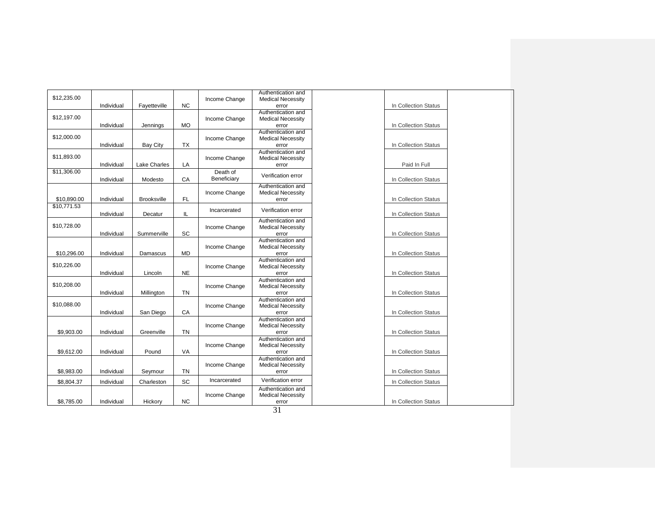| \$12,235.00 |            |                    |           |               | Authentication and                             |                      |  |
|-------------|------------|--------------------|-----------|---------------|------------------------------------------------|----------------------|--|
|             | Individual | Fayetteville       | <b>NC</b> | Income Change | <b>Medical Necessity</b><br>error              | In Collection Status |  |
|             |            |                    |           |               | Authentication and                             |                      |  |
| \$12,197.00 |            |                    |           | Income Change | <b>Medical Necessity</b>                       |                      |  |
|             | Individual | Jennings           | <b>MO</b> |               | error                                          | In Collection Status |  |
|             |            |                    |           |               | Authentication and                             |                      |  |
| \$12,000.00 |            |                    |           | Income Change | <b>Medical Necessity</b>                       |                      |  |
|             | Individual | <b>Bay City</b>    | TX        |               | error<br>Authentication and                    | In Collection Status |  |
| \$11.893.00 |            |                    |           | Income Change | <b>Medical Necessity</b>                       |                      |  |
|             | Individual | Lake Charles       | LA        |               | error                                          | Paid In Full         |  |
| \$11,306.00 |            |                    |           | Death of      |                                                |                      |  |
|             | Individual | Modesto            | CA        | Beneficiary   | Verification error                             | In Collection Status |  |
|             |            |                    |           |               | Authentication and                             |                      |  |
|             |            |                    |           | Income Change | <b>Medical Necessity</b>                       |                      |  |
| \$10,890.00 | Individual | <b>Brooksville</b> | <b>FL</b> |               | error                                          | In Collection Status |  |
| \$10,771.53 |            |                    |           | Incarcerated  | Verification error                             |                      |  |
|             | Individual | Decatur            | IL        |               | Authentication and                             | In Collection Status |  |
| \$10,728.00 |            |                    |           | Income Change | <b>Medical Necessity</b>                       |                      |  |
|             | Individual | Summerville        | SC        |               | error                                          | In Collection Status |  |
|             |            |                    |           |               | Authentication and                             |                      |  |
|             |            |                    |           | Income Change | <b>Medical Necessity</b>                       |                      |  |
| \$10.296.00 | Individual | Damascus           | MD        |               | error                                          | In Collection Status |  |
| \$10,226.00 |            |                    |           | Income Change | Authentication and<br><b>Medical Necessity</b> |                      |  |
|             | Individual | Lincoln            | <b>NE</b> |               | error                                          | In Collection Status |  |
|             |            |                    |           |               | Authentication and                             |                      |  |
| \$10,208.00 |            |                    |           | Income Change | <b>Medical Necessity</b>                       |                      |  |
|             | Individual | Millington         | <b>TN</b> |               | error                                          | In Collection Status |  |
| \$10,088.00 |            |                    |           |               | Authentication and                             |                      |  |
|             | Individual | San Diego          | CA        | Income Change | <b>Medical Necessity</b><br>error              | In Collection Status |  |
|             |            |                    |           |               | Authentication and                             |                      |  |
|             |            |                    |           | Income Change | <b>Medical Necessity</b>                       |                      |  |
| \$9,903.00  | Individual | Greenville         | <b>TN</b> |               | error                                          | In Collection Status |  |
|             |            |                    |           |               | Authentication and                             |                      |  |
|             |            |                    |           | Income Change | <b>Medical Necessity</b>                       |                      |  |
| \$9,612.00  | Individual | Pound              | VA        |               | error<br>Authentication and                    | In Collection Status |  |
|             |            |                    |           | Income Change | <b>Medical Necessity</b>                       |                      |  |
| \$8,983.00  | Individual | Seymour            | TN        |               | error                                          | In Collection Status |  |
| \$8,804.37  | Individual | Charleston         | SC        | Incarcerated  | Verification error                             | In Collection Status |  |
|             |            |                    |           |               | Authentication and                             |                      |  |
|             |            |                    |           | Income Change | <b>Medical Necessity</b>                       |                      |  |
| \$8,785.00  | Individual | Hickory            | NC.       |               | error                                          | In Collection Status |  |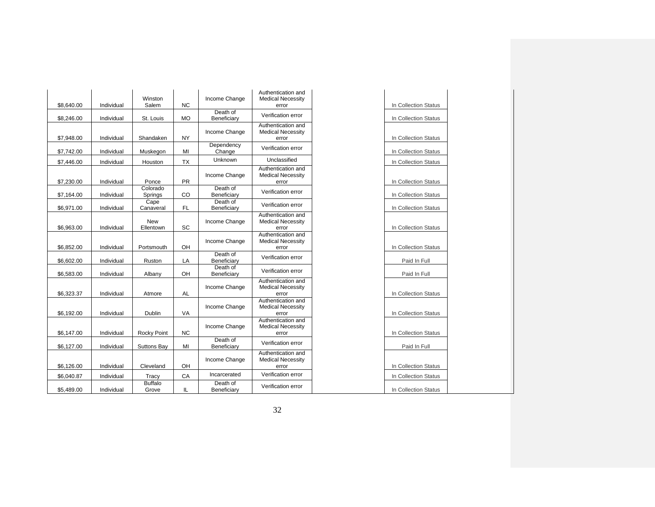| \$8,640.00 | Individual | Winston<br>Salem        | <b>NC</b> | Income Change           | Authentication and<br><b>Medical Necessity</b><br>error | In Collection Status |
|------------|------------|-------------------------|-----------|-------------------------|---------------------------------------------------------|----------------------|
| \$8,246.00 | Individual | St. Louis               | <b>MO</b> | Death of<br>Beneficiary | Verification error                                      | In Collection Status |
| \$7,948.00 | Individual | Shandaken               | NY        | Income Change           | Authentication and<br><b>Medical Necessity</b><br>error | In Collection Status |
| \$7,742.00 | Individual | Muskegon                | МI        | Dependency<br>Change    | Verification error                                      | In Collection Status |
| \$7,446.00 | Individual | Houston                 | <b>TX</b> | <b>Unknown</b>          | Unclassified                                            | In Collection Status |
| \$7,230.00 | Individual | Ponce                   | <b>PR</b> | Income Change           | Authentication and<br><b>Medical Necessity</b><br>error | In Collection Status |
| \$7,164.00 | Individual | Colorado<br>Springs     | CO        | Death of<br>Beneficiary | Verification error                                      | In Collection Status |
| \$6,971.00 | Individual | Cape<br>Canaveral       | FL.       | Death of<br>Beneficiary | Verification error                                      | In Collection Status |
| \$6,963.00 | Individual | <b>New</b><br>Ellentown | SC        | Income Change           | Authentication and<br><b>Medical Necessity</b><br>error | In Collection Status |
| \$6,852.00 | Individual | Portsmouth              | OH        | Income Change           | Authentication and<br><b>Medical Necessity</b><br>error | In Collection Status |
| \$6,602.00 | Individual | Ruston                  | LA        | Death of<br>Beneficiary | Verification error                                      | Paid In Full         |
| \$6,583.00 | Individual | Albany                  | OH        | Death of<br>Beneficiary | Verification error                                      | Paid In Full         |
| \$6,323.37 | Individual | Atmore                  | AL        | Income Change           | Authentication and<br><b>Medical Necessity</b><br>error | In Collection Status |
| \$6,192.00 | Individual | Dublin                  | <b>VA</b> | Income Change           | Authentication and<br><b>Medical Necessity</b><br>error | In Collection Status |
| \$6,147.00 | Individual | Rocky Point             | <b>NC</b> | Income Change           | Authentication and<br><b>Medical Necessity</b><br>error | In Collection Status |
| \$6,127.00 | Individual | <b>Suttons Bay</b>      | MI        | Death of<br>Beneficiary | Verification error                                      | Paid In Full         |
| \$6,126.00 | Individual | Cleveland               | OH        | Income Change           | Authentication and<br><b>Medical Necessity</b><br>error | In Collection Status |
| \$6,040.87 | Individual | Tracy                   | CA        | Incarcerated            | Verification error                                      | In Collection Status |
| \$5,489.00 | Individual | <b>Buffalo</b><br>Grove | IL        | Death of<br>Beneficiary | Verification error                                      | In Collection Status |

| In Collection Status |
|----------------------|
| In Collection Status |
|                      |
| In Collection Status |
| In Collection Status |
| In Collection Status |
| In Collection Status |
| In Collection Status |
| In Collection Status |
| In Collection Status |
| In Collection Status |
| Paid In Full         |
| Paid In Full         |
| In Collection Status |
| In Collection Status |
| In Collection Status |
| Paid In Full         |
|                      |
| In Collection Status |
| In Collection Status |
| In Colloction Status |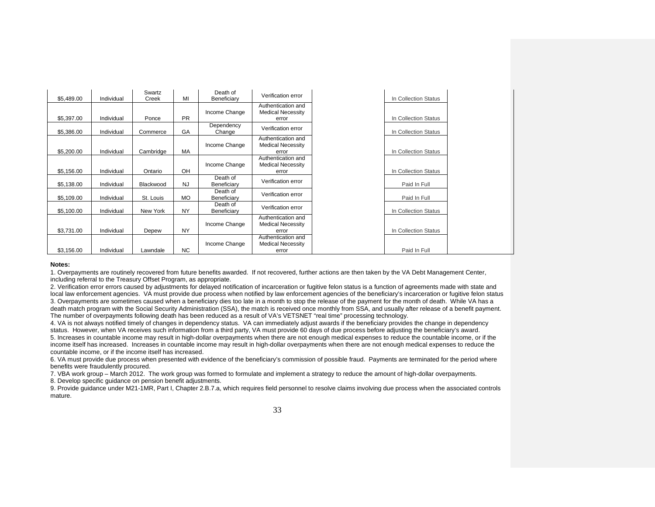| \$5,489.00 | Individual | Swartz<br>Creek | MI        | Death of<br>Beneficiary | Verification error                                      | In Collection Status |
|------------|------------|-----------------|-----------|-------------------------|---------------------------------------------------------|----------------------|
| \$5,397.00 | Individual | Ponce           | <b>PR</b> | Income Change           | Authentication and<br><b>Medical Necessity</b><br>error | In Collection Status |
| \$5,386.00 | Individual | Commerce        | GA        | Dependency<br>Change    | Verification error                                      | In Collection Status |
| \$5,200.00 | Individual | Cambridge       | MA        | Income Change           | Authentication and<br><b>Medical Necessity</b><br>error | In Collection Status |
| \$5,156.00 | Individual | Ontario         | OH        | Income Change           | Authentication and<br><b>Medical Necessity</b><br>error | In Collection Status |
| \$5,138.00 | Individual | Blackwood       | <b>NJ</b> | Death of<br>Beneficiary | Verification error                                      | Paid In Full         |
| \$5,109.00 | Individual | St. Louis       | <b>MO</b> | Death of<br>Beneficiary | Verification error                                      | Paid In Full         |
| \$5,100.00 | Individual | New York        | <b>NY</b> | Death of<br>Beneficiary | Verification error                                      | In Collection Status |
| \$3,731.00 | Individual | Depew           | <b>NY</b> | Income Change           | Authentication and<br><b>Medical Necessity</b><br>error | In Collection Status |
| \$3,156.00 | Individual | Lawndale        | <b>NC</b> | Income Change           | Authentication and<br><b>Medical Necessity</b><br>error | Paid In Full         |

1. Overpayments are routinely recovered from future benefits awarded. If not recovered, further actions are then taken by the VA Debt Management Center, including referral to the Treasury Offset Program, as appropriate.

2. Verification error errors caused by adjustments for delayed notification of incarceration or fugitive felon status is a function of agreements made with state and local law enforcement agencies. VA must provide due process when notified by law enforcement agencies of the beneficiary's incarceration or fugitive felon status 3. Overpayments are sometimes caused when a beneficiary dies too late in a month to stop the release of the payment for the month of death. While VA has a death match program with the Social Security Administration (SSA), the match is received once monthly from SSA, and usually after release of a benefit payment. The number of overpayments following death has been reduced as a result of VA's VETSNET "real time" processing technology.

4. VA is not always notified timely of changes in dependency status. VA can immediately adjust awards if the beneficiary provides the change in dependency status. However, when VA receives such information from a third party, VA must provide 60 days of due process before adjusting the beneficiary's award. 5. Increases in countable income may result in high-dollar overpayments when there are not enough medical expenses to reduce the countable income, or if the income itself has increased. Increases in countable income may result in high-dollar overpayments when there are not enough medical expenses to reduce the countable income, or if the income itself has increased.

6. VA must provide due process when presented with evidence of the beneficiary's commission of possible fraud. Payments are terminated for the period where benefits were fraudulently procured.

7. VBA work group – March 2012. The work group was formed to formulate and implement a strategy to reduce the amount of high-dollar overpayments.

8. Develop specific guidance on pension benefit adjustments.

9. Provide guidance under M21-1MR, Part I, Chapter 2.B.7.a, which requires field personnel to resolve claims involving due process when the associated controls mature.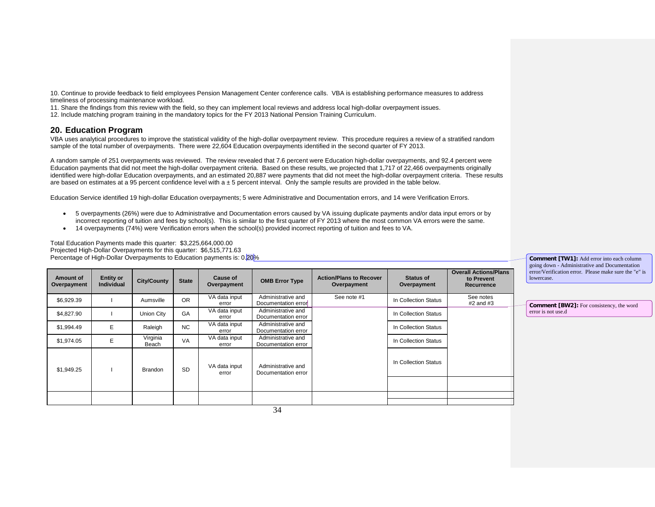10. Continue to provide feedback to field employees Pension Management Center conference calls. VBA is establishing performance measures to address timeliness of processing maintenance workload.

11. Share the findings from this review with the field, so they can implement local reviews and address local high-dollar overpayment issues.

12. Include matching program training in the mandatory topics for the FY 2013 National Pension Training Curriculum.

## **20. Education Program**

VBA uses analytical procedures to improve the statistical validity of the high-dollar overpayment review. This procedure requires a review of a stratified random sample of the total number of overpayments. There were 22,604 Education overpayments identified in the second quarter of FY 2013.

A random sample of 251 overpayments was reviewed. The review revealed that 7.6 percent were Education high-dollar overpayments, and 92.4 percent were Education payments that did not meet the high-dollar overpayment criteria. Based on these results, we projected that 1,717 of 22,466 overpayments originally identified were high-dollar Education overpayments, and an estimated 20,887 were payments that did not meet the high-dollar overpayment criteria. These results are based on estimates at a 95 percent confidence level with  $a \pm 5$  percent interval. Only the sample results are provided in the table below.

Education Service identified 19 high-dollar Education overpayments; 5 were Administrative and Documentation errors, and 14 were Verification Errors.

- 5 overpayments (26%) were due to Administrative and Documentation errors caused by VA issuing duplicate payments and/or data input errors or by incorrect reporting of tuition and fees by school(s). This is similar to the first quarter of FY 2013 where the most common VA errors were the same.
- 14 overpayments (74%) were Verification errors when the school(s) provided incorrect reporting of tuition and fees to VA.

Total Education Payments made this quarter: \$3,225,664,000.00 Projected High-Dollar Overpayments for this quarter: \$6,515,771.63 Percentage of High-Dollar Overpayments to Education payments is: 0.20%

| <b>Amount of</b><br>Overpayment | <b>Entity or</b><br>Individual | <b>City/County</b> | <b>State</b> | <b>Cause of</b><br>Overpayment | <b>OMB Error Type</b>                     | <b>Action/Plans to Recover</b><br>Overpayment | <b>Status of</b><br>Overpayment | <b>Overall Actions/Plans</b><br>to Prevent<br>Recurrence | $\mu$ going down - running<br>error/Verification error.<br>lowercase. |
|---------------------------------|--------------------------------|--------------------|--------------|--------------------------------|-------------------------------------------|-----------------------------------------------|---------------------------------|----------------------------------------------------------|-----------------------------------------------------------------------|
| \$6,929.39                      |                                | Aumsville          | <b>OR</b>    | VA data input<br>error         | Administrative and<br>Documentation error | See note #1                                   | In Collection Status            | See notes<br>#2 and #3                                   | Comment [BW2]: I                                                      |
| \$4,827.90                      |                                | Union City         | GA           | VA data input<br>error         | Administrative and<br>Documentation error |                                               | In Collection Status            |                                                          | error is not use.d                                                    |
| \$1,994.49                      | Е                              | Raleigh            | <b>NC</b>    | VA data input<br>error         | Administrative and<br>Documentation error |                                               | In Collection Status            |                                                          |                                                                       |
| \$1,974.05                      | E                              | Virginia<br>Beach  | VA           | VA data input<br>error         | Administrative and<br>Documentation error |                                               | In Collection Status            |                                                          |                                                                       |
| \$1,949.25                      |                                | <b>Brandon</b>     | <b>SD</b>    | VA data input<br>error         | Administrative and<br>Documentation error |                                               | In Collection Status            |                                                          |                                                                       |
|                                 |                                |                    |              |                                |                                           |                                               |                                 |                                                          |                                                                       |
|                                 |                                |                    |              |                                |                                           |                                               |                                 |                                                          |                                                                       |
|                                 |                                |                    |              |                                | $\sim$ $\sim$                             |                                               |                                 |                                                          |                                                                       |

**Comment [TW1]:** Add error into each column<br> **Administrative and Decumentation** strative and Documentation Please make sure the "e" is

For consistency, the word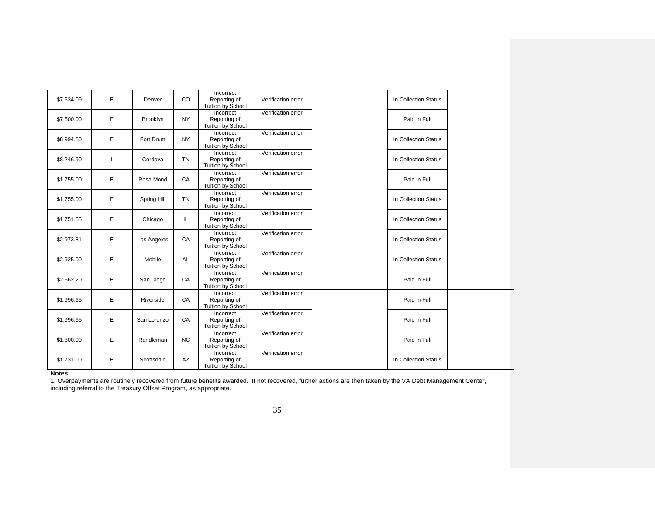| \$7.534.09 | Е | Denver      | <b>CO</b> | Incorrect<br>Reporting of<br>Tuition by School | Verification error | In Collection Status |  |
|------------|---|-------------|-----------|------------------------------------------------|--------------------|----------------------|--|
| \$7,500.00 | Е | Brooklyn    | <b>NY</b> | Incorrect<br>Reporting of<br>Tuition by School | Verification error | Paid in Full         |  |
| \$8,994.50 | Е | Fort Drum   | <b>NY</b> | Incorrect<br>Reporting of<br>Tuition by School | Verification error | In Collection Status |  |
| \$8,246.90 | H | Cordova     | <b>TN</b> | Incorrect<br>Reporting of<br>Tuition by School | Verification error | In Collection Status |  |
| \$1,755.00 | Е | Rosa Mond   | CA        | Incorrect<br>Reporting of<br>Tuition by School | Verification error | Paid in Full         |  |
| \$1.755.00 | Е | Spring Hill | <b>TN</b> | Incorrect<br>Reporting of<br>Tuition by School | Verification error | In Collection Status |  |
| \$1.751.55 | E | Chicago     | IL        | Incorrect<br>Reporting of<br>Tuition by School | Verification error | In Collection Status |  |
| \$2,973.81 | E | Los Angeles | CA        | Incorrect<br>Reporting of<br>Tuition by School | Verification error | In Collection Status |  |
| \$2.925.00 | Е | Mobile      | <b>AL</b> | Incorrect<br>Reporting of<br>Tuition by School | Verification error | In Collection Status |  |
| \$2.662.20 | E | San Diego   | CA        | Incorrect<br>Reporting of<br>Tuition by School | Verification error | Paid in Full         |  |
| \$1,996.65 | Е | Riverside   | CA        | Incorrect<br>Reporting of<br>Tuition by School | Verification error | Paid in Full         |  |
| \$1,996.65 | Е | San Lorenzo | CA        | Incorrect<br>Reporting of<br>Tuition by School | Verification error | Paid in Full         |  |
| \$1,800.00 | Е | Randleman   | <b>NC</b> | Incorrect<br>Reporting of<br>Tuition by School | Verification error | Paid in Full         |  |
| \$1,731.00 | E | Scottsdale  | AZ        | Incorrect<br>Reporting of<br>Tuition by School | Verification error | In Collection Status |  |

1. Overpayments are routinely recovered from future benefits awarded. If not recovered, further actions are then taken by the VA Debt Management Center, including referral to the Treasury Offset Program, as appropriate.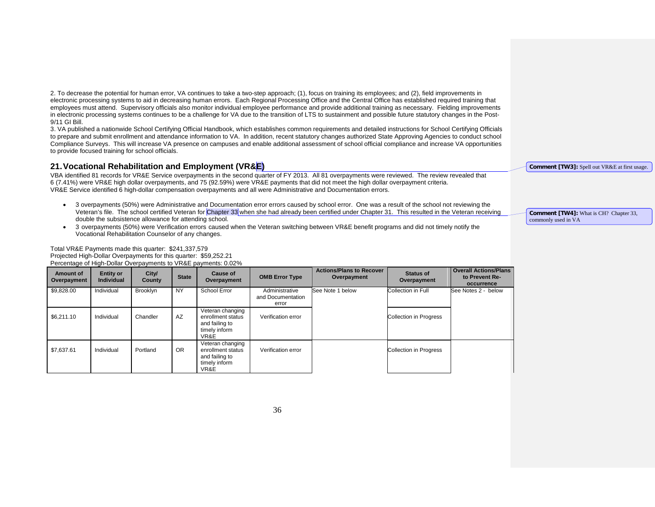2. To decrease the potential for human error, VA continues to take a two-step approach; (1), focus on training its employees; and (2), field improvements in electronic processing systems to aid in decreasing human errors. Each Regional Processing Office and the Central Office has established required training that employees must attend. Supervisory officials also monitor individual employee performance and provide additional training as necessary. Fielding improvements in electronic processing systems continues to be a challenge for VA due to the transition of LTS to sustainment and possible future statutory changes in the Post-9/11 GI Bill.

3. VA published a nationwide School Certifying Official Handbook, which establishes common requirements and detailed instructions for School Certifying Officials to prepare and submit enrollment and attendance information to VA. In addition, recent statutory changes authorized State Approving Agencies to conduct school Compliance Surveys. This will increase VA presence on campuses and enable additional assessment of school official compliance and increase VA opportunities to provide focused training for school officials.

## **21.Vocational Rehabilitation and Employment (VR&E)**

VBA identified 81 records for VR&E Service overpayments in the second quarter of FY 2013. All 81 overpayments were reviewed. The review revealed that 6 (7.41%) were VR&E high dollar overpayments, and 75 (92.59%) were VR&E payments that did not meet the high dollar overpayment criteria. VR&E Service identified 6 high-dollar compensation overpayments and all were Administrative and Documentation errors.

- 3 overpayments (50%) were Administrative and Documentation error errors caused by school error. One was a result of the school not reviewing the Veteran's file. The school certified Veteran for Chapter 33 when she had already been certified under Chapter 31. This resulted in the Veteran receiving double the subsistence allowance for attending school.
- 3 overpayments (50%) were Verification errors caused when the Veteran switching between VR&E benefit programs and did not timely notify the Vocational Rehabilitation Counselor of any changes.

Total VR&E Payments made this quarter: \$241,337,579 Projected High-Dollar Overpayments for this quarter: \$59,252.21 Percentage of High-Dollar Overpayments to VR&E payments: 0.02%

| <b>Amount of</b><br>Overpayment | <b>Entity or</b><br><b>Individual</b> | City/<br>County | <b>State</b> | <b>Cause of</b><br>Overpayment                                                   | <b>OMB Error Type</b>                        | <b>Actions/Plans to Recover</b><br>Overpayment | <b>Status of</b><br>Overpayment | <b>Overall Actions/Plans</b><br>to Prevent Re-<br>occurrence |
|---------------------------------|---------------------------------------|-----------------|--------------|----------------------------------------------------------------------------------|----------------------------------------------|------------------------------------------------|---------------------------------|--------------------------------------------------------------|
| \$9,828.00                      | Individual                            | Brooklyn        | <b>NY</b>    | School Error                                                                     | Administrative<br>and Documentation<br>error | See Note 1 below                               | Collection in Full              | See Notes 2 - below                                          |
| \$6.211.10                      | Individual                            | Chandler        | AZ           | Veteran changing<br>enrollment status<br>and failing to<br>timely inform<br>VR&E | Verification error                           |                                                | <b>Collection in Progress</b>   |                                                              |
| \$7,637.61                      | Individual                            | Portland        | <b>OR</b>    | Veteran changing<br>enrollment status<br>and failing to<br>timely inform<br>VR&E | Verification error                           |                                                | <b>Collection in Progress</b>   |                                                              |

**Comment [TW3]:** Spell out VR&E at first usage.

**Comment [TW4]:** What is CH? Chapter 33, commonly used in VA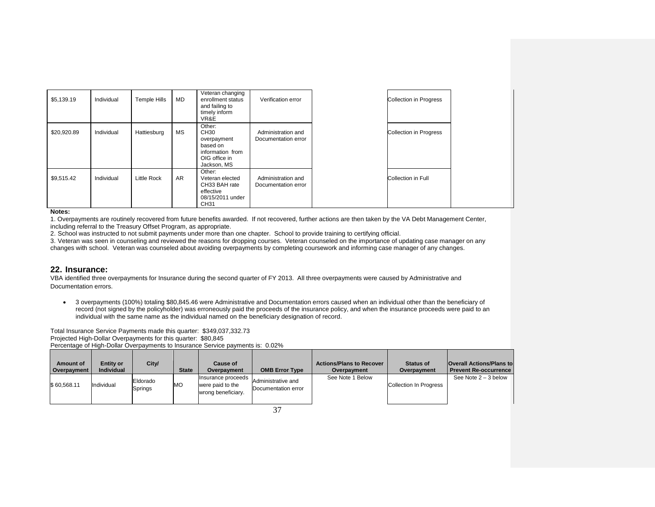| \$5,139.19  | Individual | Temple Hills       | MD  | Veteran changing<br>enrollment status<br>and failing to<br>timely inform<br>VR&E                          | Verification error                        | Collection in Progress        |  |
|-------------|------------|--------------------|-----|-----------------------------------------------------------------------------------------------------------|-------------------------------------------|-------------------------------|--|
| \$20,920.89 | Individual | Hattiesburg        | МS  | Other:<br>CH <sub>30</sub><br>overpayment<br>based on<br>information from<br>OIG office in<br>Jackson, MS | Administration and<br>Documentation error | <b>Collection in Progress</b> |  |
| \$9,515.42  | Individual | <b>Little Rock</b> | AR. | Other:<br>Veteran elected<br>CH33 BAH rate<br>effective<br>08/15/2011 under<br>CH31                       | Administration and<br>Documentation error | Collection in Full            |  |

1. Overpayments are routinely recovered from future benefits awarded. If not recovered, further actions are then taken by the VA Debt Management Center, including referral to the Treasury Offset Program, as appropriate.

2. School was instructed to not submit payments under more than one chapter. School to provide training to certifying official.

3. Veteran was seen in counseling and reviewed the reasons for dropping courses. Veteran counseled on the importance of updating case manager on any changes with school. Veteran was counseled about avoiding overpayments by completing coursework and informing case manager of any changes.

## **22. Insurance:**

VBA identified three overpayments for Insurance during the second quarter of FY 2013. All three overpayments were caused by Administrative and Documentation errors.

• 3 overpayments (100%) totaling \$80,845.46 were Administrative and Documentation errors caused when an individual other than the beneficiary of record (not signed by the policyholder) was erroneously paid the proceeds of the insurance policy, and when the insurance proceeds were paid to an individual with the same name as the individual named on the beneficiary designation of record.

Total Insurance Service Payments made this quarter: \$349,037,332.73 Projected High-Dollar Overpayments for this quarter: \$80,845 Percentage of High-Dollar Overpayments to Insurance Service payments is: 0.02%

| <b>Amount of</b><br>Overpayment | <b>Entity or</b><br><b>Individual</b> | City/               | <b>State</b> | <b>Cause of</b><br>Overpayment                               | <b>OMB Error Type</b>                     | <b>Actions/Plans to Recover</b><br>Overpayment | <b>Status of</b><br>Overpayment | <b>Overall Actions/Plans to</b><br><b>Prevent Re-occurrence</b> |
|---------------------------------|---------------------------------------|---------------------|--------------|--------------------------------------------------------------|-------------------------------------------|------------------------------------------------|---------------------------------|-----------------------------------------------------------------|
| \$60.568.11                     | Individual                            | Eldorado<br>Springs | <b>MO</b>    | Insurance proceeds<br>were paid to the<br>wrong beneficiary. | Administrative and<br>Documentation error | See Note 1 Below                               | <b>Collection In Progress</b>   | See Note $2 - 3$ below                                          |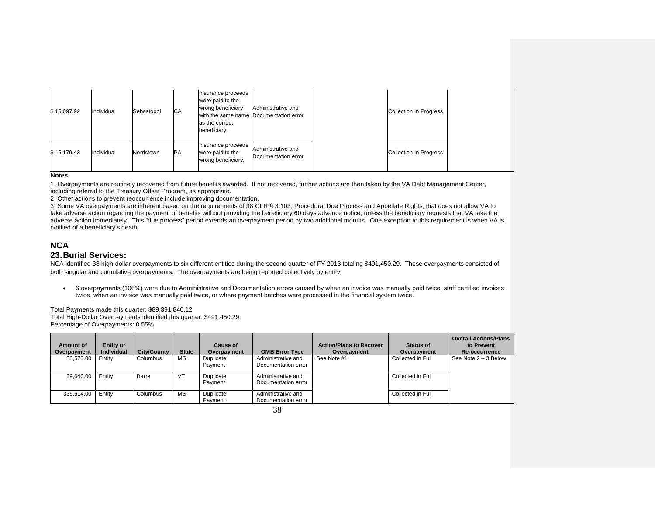| \$15,097.92 | Individual | Sebastopol | <b>CA</b>  | Insurance proceeds<br>were paid to the<br>wrong beneficiary<br>as the correct<br>beneficiary. | Administrative and<br>with the same name Documentation error | <b>Collection In Progress</b> |
|-------------|------------|------------|------------|-----------------------------------------------------------------------------------------------|--------------------------------------------------------------|-------------------------------|
| \$5,179.43  | Individual | Norristown | <b>IPA</b> | Insurance proceeds<br>were paid to the<br>wrong beneficiary.                                  | Administrative and<br>Documentation error                    | <b>Collection In Progress</b> |

1. Overpayments are routinely recovered from future benefits awarded. If not recovered, further actions are then taken by the VA Debt Management Center, including referral to the Treasury Offset Program, as appropriate.

2. Other actions to prevent reoccurrence include improving documentation.

3. Some VA overpayments are inherent based on the requirements of 38 CFR § 3.103, Procedural Due Process and Appellate Rights, that does not allow VA to take adverse action regarding the payment of benefits without providing the beneficiary 60 days advance notice, unless the beneficiary requests that VA take the adverse action immediately. This "due process" period extends an overpayment period by two additional months. One exception to this requirement is when VA is notified of a beneficiary's death.

## **NCA**

## **23.Burial Services:**

NCA identified 38 high-dollar overpayments to six different entities during the second quarter of FY 2013 totaling \$491,450.29. These overpayments consisted of both singular and cumulative overpayments. The overpayments are being reported collectively by entity.

• 6 overpayments (100%) were due to Administrative and Documentation errors caused by when an invoice was manually paid twice, staff certified invoices twice, when an invoice was manually paid twice, or where payment batches were processed in the financial system twice.

Total Payments made this quarter: \$89,391,840.12 Total High-Dollar Overpayments identified this quarter: \$491,450.29 Percentage of Overpayments: 0.55%

| <b>Amount of</b><br>Overpayment | <b>Entity or</b><br><b>Individual</b> | <b>City/County</b> | <b>State</b> | Cause of<br>Overpayment | <b>OMB Error Type</b>                     | <b>Action/Plans to Recover</b><br>Overpayment | <b>Status of</b><br>Overpayment | <b>Overall Actions/Plans</b><br>to Prevent<br>Re-occurrence |
|---------------------------------|---------------------------------------|--------------------|--------------|-------------------------|-------------------------------------------|-----------------------------------------------|---------------------------------|-------------------------------------------------------------|
| 33.573.00                       | Entity                                | Columbus           | <b>MS</b>    | Duplicate<br>Payment    | Administrative and<br>Documentation error | See Note #1                                   | Collected in Full               | See Note 2 - 3 Below                                        |
| 29.640.00                       | Entity                                | Barre              | VT           | Duplicate<br>Payment    | Administrative and<br>Documentation error |                                               | Collected in Full               |                                                             |
| 335.514.00                      | Entity                                | Columbus           | <b>MS</b>    | Duplicate<br>Payment    | Administrative and<br>Documentation error |                                               | Collected in Full               |                                                             |